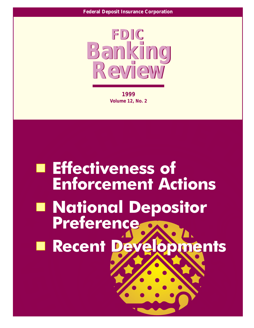

1999 **Volume 12, No. 2** 

# **Effectiveness of Enforcement Actions E National Depositor Preference E Recent Deve** opments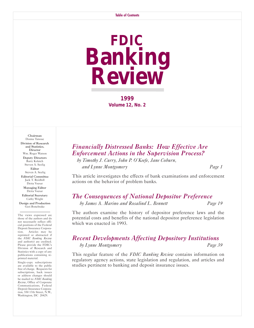# **FDIC Banking Review**

**1999 Volume 12, No. 2** 

Chairman Donna Tanoue Division of Research and Statistics, **Director** Wm. Roger Watson Deputy Directors Barry Kolatch Steven A. Seelig Editor Steven A. Seelig Editorial Committee Jack T. Reidhill Detta Voesar Managing Editor Detta Voesar Editorial Secretary

Cathy Wright Design and Production Geri Bonebrake

The views expressed are those of the authors and do not necessarily reflect official positions of the Federal Deposit Insurance Corporation. Articles may be reprinted or abstracted if the *FDIC Banking Review* and author(s) are credited. Please provide the FDIC's Division of Research and Statistics with a copy of any publications containing reprinted material.

Single-copy subscriptions are available to the public free of charge. Requests for subscriptions, back issues or address changes should be mailed to: *FDIC Banking Review*, Office of Corporate Communications, Federal Deposit Insurance Corporation, 550 17th Street, N.W., Washington, DC 20429.

# *[Financially Distressed Banks: How Effective Are](#page-2-0) Enforcement Actions in the Supervision Process?*

*by Timothy J. Curry, John P. O'Keefe, Jane Coburn, and Lynne Montgomery Page 1*

This article investigates the effects of bank examinations and enforcement actions on the behavior of problem banks.

### *[The Consequences of National Depositor Preference](#page-20-0) by James A. Marino and Rosalind L. Bennett Page 19*

The authors examine the history of depositor preference laws and the potential costs and benefits of the national depositor preference legislation which was enacted in 1993.

# *[Recent Developments Affecting Depository Institutions](#page-40-0) by Lynne Montgomery Page 39*

This regular feature of the *FDIC Banking Review* contains information on regulatory agency actions, state legislation and regulation, and articles and studies pertinent to banking and deposit insurance issues.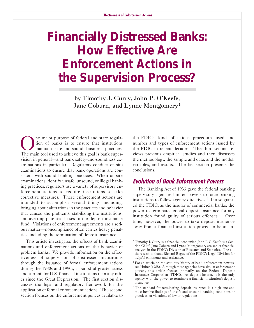# <span id="page-2-0"></span>**Financially Distressed Banks: How Effective Are Enforcement Actions in the Supervision Process?**

by Timothy J. Curry, John P. O'Keefe, Jane Coburn, and Lynne Montgomery\*

0ne major purpose of federal and state regulation of banks is to ensure that institutions maintain safe-and-sound business practices. The main tool used to achieve this goal is bank supervision in general—and bank safety-and-soundness examinations in particular. Regulators conduct on-site examinations to ensure that bank operations are consistent with sound banking practices. When on-site examinations identify unsafe, unsound, or illegal banking practices, regulators use a variety of supervisory enforcement actions to require institutions to take corrective measures. These enforcement actions are intended to accomplish several things, including: bringing about alterations in the practices and behavior that caused the problems, stabilizing the institutions, and averting potential losses to the deposit insurance fund. Violations of enforcement agreements are a serious matter-noncompliance often carries heavy penalties, including the termination of deposit insurance.

This article investigates the effects of bank examinations and enforcement actions on the behavior of problem banks. We provide information on the effectiveness of supervision of distressed institutions through the issuance of formal enforcement actions during the 1980s and 1990s, a period of greater stress and turmoil for U.S. financial institutions than any other since the Great Depression. The first section discusses the legal and regulatory framework for the application of formal enforcement actions. The second section focuses on the enforcement polices available to the FDIC: kinds of actions, procedures used, and number and types of enforcement actions issued by the FDIC in recent decades. The third section reviews previous empirical studies and then discusses the methodology, the sample and data, and the model, variables, and results. The last section presents the conclusions.

## **Evolution of Bank Enforcement Powers**

The Banking Act of 1933 gave the federal banking supervisory agencies limited powers to force banking institutions to follow agency directives.<sup>1</sup> It also granted the FDIC, as the insurer of commercial banks, the power to terminate federal deposit insurance for any institution found guilty of serious offenses.<sup>2</sup> Over time, however, the power to take deposit insurance away from a financial institution proved to be an in

<sup>\*</sup> Timothy J. Curry is a financial economist, John P. 0'Keefe is a Section Chief, Jane Coburn and Lynne Montgomery are senior financial analysts in the FDIC's Division of Research and Statistics. The authors wish to thank Richard Bogue of the FDIC's Legal Division for helpful comments and assistance.

<sup>1</sup> For an article on the statutory history of bank enforcement powers, see Huber (1988). Although most agencies have similar enforcement powers, this article focuses primarily on the Federal Deposit Insurance Corporation (FDIC). As deposit insurer, it is the only agency with the power to terminate a financial institution's deposit insurance.

<sup>2</sup> The standard for terminating deposit insurance is a high one and must involve findings of unsafe and unsound banking conditions or practices, or violations of law or regulations.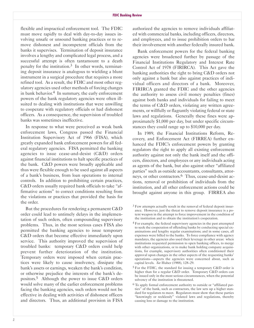flexible and impractical enforcement tool. The FDIC must move rapidly to deal with day-to-day issues involving unsafe or unsound banking practices or to remove dishonest and incompetent officials from the banks it supervises. Termination of deposit insurance involves a lengthy and complicated legal process, and a successful attempt is often tantamount to a death penalty for the institution.<sup>3</sup> In other words, terminating deposit insurance is analogous to wielding a blunt instrument in a surgical procedure that requires a more refined tool. As a result, the FDIC and most other regulatory agencies used other methods of forcing changes in bank behavior. $4$  In summary, the early enforcement powers of the bank regulatory agencies were often illsuited to dealing with institutions that were unwilling to cooperate with regulatory officials or had dishonest officers. As a consequence, the supervision of troubled banks was sometimes ineffective.

In response to what were perceived as weak bank enforcement laws, Congress passed the Financial Institution Supervisory Act of 1966 (FISA), which greatly expanded bank enforcement powers for all federal regulatory agencies. FISA permitted the banking agencies to issue cease-and-desist  $(C&D)$  orders against financial institutions to halt specific practices of the bank. C&D powers were broadly applicable and thus were flexible enough to be used against all aspects of a bank's business, from loan operations to internal controls. In addition to prohibiting certain practices, C&D orders usually required bank officials to take "affirmative actions" to correct conditions resulting from the violations or practices that provided the basis for the order.

But the procedures for rendering a permanent C&D order could lead to untimely delays in the implementation of such orders, often compounding supervisory problems. Thus, in the most serious cases FISA also permitted the banking agencies to issue temporary C&D orders that become effective immediately upon service. This authority improved the supervision of troubled banks: temporary C&D orders could help prevent further deterioration of the institution. Temporary orders were imposed when certain practices were likely to cause insolvency, dissipate the bank's assets or earnings, weaken the bank's condition, or otherwise prejudice the interests of the bank's depositors.5 Although the power to issue C&D orders would solve many of the earlier enforcement problems facing the banking agencies, such orders would not be effective in dealing with activities of dishonest officers and directors. Thus, an additional provision in FISA

authorized the agencies to remove individuals affiliated with commercial banks, including officers, directors, and employees, and to issue prohibition orders to bar their involvement with another federally insured bank.

Bank enforcement powers for the federal banking agencies were broadened further by passage of the Financial Institutions Regulatory and Interest Rate Control Act of 1978 (FIRIRCA). This Act gave the banking authorities the right to bring C&D orders not only against a bank but also against practices of individual officers and directors of a bank. Moreover, FIRIRCA granted the FDIC and the other agencies the authority to assess civil money penalties (fines) against both banks and individuals for failing to meet the terms of C&D orders, violating any written agreements, or willfully or flagrantly violating federal or state laws and regulations. Generally these fines were approximately \$1,000 per day, but under specific circumstances they could range up to \$10,000 per day.

In 1989, the Financial Institutions Reform, Recovery, and Enforcement Act (FIRREA) further enhanced the FDIC's enforcement powers by granting regulators the right to apply all existing enforcement authority against not only the bank itself and the officers, directors, and employees or any individuals acting as agents of the bank, but also against other "affiliated parties" such as outside accountants, consultants, attorneys, or other contractors.<sup>6</sup> Thus, cease-and-desist actions, removal or prohibition of individuals from the institution, and all other enforcement actions could be brought against anyone in this group. FIRREA also

<sup>&</sup>lt;sup>3</sup> Few attempts actually result in the removal of federal deposit insurance. However, just the threat to remove deposit insurance is a potent weapon in the attempt to force improvement in the condition of the institution and to obtain the institution's cooperation.

<sup>4</sup> For example, the federal supervisory agencies in the past attempted to seek the cooperation of offending banks by conducting special examinations and lengthy regular examinations; and in some cases, all expenses were billed to the banks. To force compliance with agency mandates, the agencies also used their leverage in other areas: when institutions requested permission to open banking offices, to merge with other organizations, or to make bank holding company acquisitions, for example, supervisory authorities often conditioned their approval upon changes in the other aspects of the requesting banks' operations-aspects the agencies were concerned about, such as capital levels. *See* Huber (1988), 128-29.

<sup>&</sup>lt;sup>5</sup> For the FDIC, the standard for issuing a temporary C&D order is higher than for a regular C&D order. Temporary C&D orders can be issued only in the most serious circumstances, when the potential solvency of the institution is threatened.

<sup>6</sup> To apply formal enforcement authority to outside or "affiliated parties" of the bank, such as contractors, the law sets up a higher standard for regulators to meet. Regulators must show that these parties "knowingly or recklessly" violated laws and regulations, thereby causing loss or damage to the institution.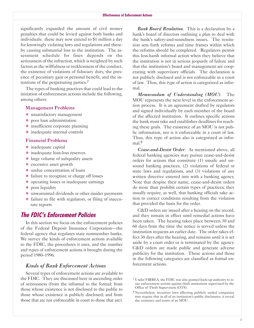significantly expanded the amount of civil money penalties that could be levied against both banks and individuals: these may now extend to \$1 million a day for knowingly violating laws and regulations and thereby causing substantial loss to the institution. The assessment schedule for fines depends on the seriousness of the infraction, which is weighted by such factors as the willfulness or recklessness of the conduct, the existence of violations of fiduciary duty, the presence of pecuniary gain or personal benefit, and the intentions of the perpetrating parties.7

The types of banking practices that could lead to the initiation of enforcement actions include the following, among others:

### Management Problems

- $\bullet$  unsatisfactory management
- $\bullet$  poor loan administration
- $\bullet$  insufficient corporate planning
- � inadequate internal controls

### Financial Problems

- inadequate capital
- inadequate loan-loss reserves
- large volume of subquality assets
- excessive asset growth
- � undue concentration of loans
- failure to recognize or charge off losses
- � operating losses or inadequate earnings
- $\bullet$  poor liquidity
- � unwarranted dividends or other insider payments
- � failure to file with regulators, or filing of inaccurate reports

# **The FDIC's Enforcement Policies**

In this section we focus on the enforcement policies of the Federal Deposit Insurance Corporation-the federal agency that regulates state nonmember banks. We survey the kinds of enforcement actions available to the FDIC, the procedures it uses, and the number and types of enforcement actions it brought during the period 1980-1996.

### *Kinds of Bank Enforcement Actions*

Several types of enforcement actions are available to the FDIC. They are discussed here in ascending order of seriousness (from the informal to the formal; from those whose existence is not disclosed to the public to those whose existence is publicly disclosed; and from those that are not enforceable in court to those that are).

*Bank Board Resolution*. This is a declaration by a bank's board of directors outlining a plan to deal with the bank's safety-and-soundness issues. The resolution sets forth reforms and time frames within which the reforms should be completed. Regulators permit this lessharsh informal action when they believe that the institution is not in serious jeopardy of failure and that the institution's board and management are cooperating with supervisory officials. The declaration is not publicly disclosed and is not enforceable in a court of law. Thus, this type of action is categorized as informal.

*Memorandum of Understanding (MOU)*. The M0U represents the next level in the enforcement action process. It is an agreement drafted by regulators and signed individually by each member of the board of the affected institution. It outlines specific actions the bank must take and establishes deadlines for reaching these goals. The existence of an M0U is not public information, nor is it enforceable in a court of law. Thus, this type of action also is categorized as informal.<sup>8</sup>

*Cease-and-Desist Order*. As mentioned above, all federal banking agencies may pursue cease-and-desist orders for actions that constitute (1) unsafe and unsound banking practices, (2) violations of federal or state laws and regulations, and (3) violations of any written directive entered into with a banking agency. Note that despite their name, cease-and-desist orders do more than prohibit certain types of practices; they usually require, as well, that banking officials take action to correct conditions resulting from the violation that provided the basis for the order.

C&D orders are issued after a hearing on the record, and they remain in effect until remedial actions have been taken. The hearing takes place between 30 and 60 days from the time the notice is served unless the institution requests an earlier date. The order takes effect 30 days after the hearing, and remains until it is set aside by a court order or is terminated by the agency. C&D orders are made public and generate adverse publicity for the institution. These actions and those in the following categories are classified as formal enforcement actions.

<sup>&</sup>lt;sup>7</sup> Under FIRREA, the FDIC was also granted back-up authority to issue enforcement actions against thrift institutions supervised by the 0ffice of Thrift Supervision (0TS).

<sup>8</sup> Nevertheless, securities laws affecting publicly traded companies may require that in all of an institution's public disclosures, it reveal the existence and terms of an M0U.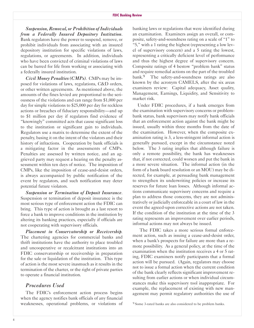*Suspension, Removal, or Prohibition of Individuals from a Federally Insured Depository Institution*. Bank regulators have the power to suspend, remove, or prohibit individuals from associating with an insured depository institution for specific violations of laws, regulations, or agreements. In addition, individuals who have been convicted of criminal violations of laws can be barred for life from working or associating with a federally insured institution.

*Civil Money Penalties (CMPs)*. CMPs may be imposed for violations of laws, regulations, C&D orders, or other written agreements. As mentioned above, the amounts of the fines levied are proportional to the seriousness of the violations and can range from \$1,000 per day for simple violations to \$25,000 per day for reckless actions or breaches of fiduciary responsibility—and up to \$1 million per day if regulators find evidence of "knowingly" committed acts that cause significant loss to the institution or significant gain to individuals. Regulators use a matrix to determine the extent of the penalty, basing it on the intent of the violators and their history of infractions. Cooperation by bank officials is a mitigating factor in the assessments of CMPs. Penalties are assessed by written notice, and an aggrieved party may request a hearing on the penalty assessment within ten days of notice. The imposition of CMPs, like the imposition of cease-and-desist orders, is always accompanied by public notification of the event by regulators, and such notification may deter potential future violators.

*Suspension or Termination of Deposit Insurance*. Suspension or termination of deposit insurance is the most serious type of enforcement action the FDIC can bring. This type of action is brought as a last resort to force a bank to improve conditions in the institution by altering its banking practices, especially if officials are not cooperating with supervisory officials.

*Placement in Conservatorship or Receivership.* The chartering agencies for commercial banks and thrift institutions have the authority to place troubled and uncooperative or recalcitrant institutions into an FDIC conservatorship or receivership in preparation for the sale or liquidation of the institution. This type of action is the most severe inasmuch as it results in the termination of the charter, or the right of private parties to operate a financial institution.

### *Procedures Used*

The FDIC's enforcement action process begins when the agency notifies bank officials of any financial weaknesses, operational problems, or violations of

banking laws or regulations that were identified during an examination. Examiners assign an overall, or composite, safety-and-soundness rating on a scale of "1" to "5," with a 1 rating the highest (representing a low level of supervisory concern) and a 5 rating the lowest, representing a critically deficient level of performance and thus the highest degree of supervisory concern. Composite ratings of 4 bestow "problem bank" status and require remedial actions on the part of the troubled bank.<sup>9</sup> The safety-and-soundness ratings are also known by the acronym CAMELS, after the six areas examiners review: Capital adequacy, Asset quality, Management, Earnings, Liquidity, and Sensitivity to market risk.

Under FDIC procedures, if a bank emerges from the examination with supervisory concerns or problembank status, bank supervisors may notify bank officials that an enforcement action against the bank might be issued, usually within three months from the date of the examination. However, when the composite examination rating is 3, a less-stringent informal action is generally pursued, except in the circumstance noted below. The 3 rating implies that although failure is only a remote possibility, the bank has weaknesses that, if not corrected, could worsen and put the bank in a more severe situation. The informal action (in the form of a bank board resolution or an M0U) may be directed, for example, at persuading bank management to strengthen its underwriting policies or increase its reserves for future loan losses. Although informal actions communicate supervisory concerns and require a plan to address those concerns, they are not administratively or judicially enforceable in a court of law in the event the agreed-upon corrective actions are not taken. If the condition of the institution at the time of the 3 rating represents an improvement over earlier periods, informal actions may not always be issued.

The FDIC takes a more serious formal enforcement action, such as issuing a cease-and-desist order, when a bank's prospects for failure are more than a remote possibility. As a general policy, at the time of the examination when the institution receives a 4 or 5 rating, FDIC examiners notify participants that a formal action will be pursued. (Again, regulators may choose not to issue a formal action when the current condition of the bank clearly reflects significant improvement resulting from earlier actions or when individual circumstances make this supervisory tool inappropriate. For example, the replacement of existing with new management may permit regulatory authorities the use of

<sup>&</sup>lt;sup>9</sup> Some 3-rated banks are also considered to be problem banks.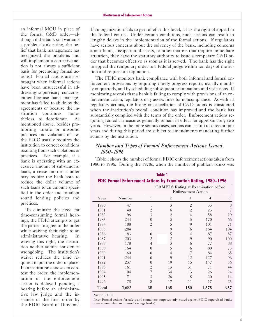an informal M0U in place of the formal C&D order-although if the bank still warrants a problem-bank rating, the belief that bank management has recognized the problems and will implement a corrective action is not always a sufficient basis for precluding formal actions.) Formal actions are also brought when informal actions have been unsuccessful in addressing supervisory concerns, either because bank management has failed to abide by the agreements or because the institution continues, nonetheless, to deteriorate. As mentioned above, besides prohibiting unsafe or unsound practices and violations of law, the FDIC usually requires the institution to correct conditions resulting from such violations or practices. For example, if a bank is operating with an excessive amount of substandard loans, a cease-and-desist order may require the bank both to reduce the dollar volume of such loans to an amount specified in the order and to adopt sound lending policies and practices.

To eliminate the need for timeconsuming formal hearings, the FDIC attempts to get the parties to agree to the order while waiving their right to an administrative hearing. In waiving this right, the institution neither admits nor denies wrongdoing. The institution's waiver reduces the time required to put the order in place. If an institution chooses to contest the order, the implementation of the enforcement action is delayed pending a hearing before an administrative law judge and the is-<br>*Source:* FDIC. the FDIC Board of Directors.

If an organization fails to get relief at this level, it has the right of appeal in the federal courts. Under certain conditions, such actions can result in lengthy delays in the implementation of the formal actions. If regulators have serious concerns about the solvency of the bank, including concerns about fraud, dissipation of assets, or other matters that require immediate attention, they have the statutory authority to issue a temporary C&D order that becomes effective as soon as it is served. The bank has the right to appeal the temporary order to a federal judge within ten days of the action and request an injunction.

The FDIC monitors bank compliance with both informal and formal enforcement provisions by requiring timely progress reports, usually monthly or quarterly, and by scheduling subsequent examinations and visitations. If monitoring reveals that a bank is failing to comply with provisions of an enforcement action, regulators may assess fines for noncompliance. As with all regulatory actions, the lifting or cancellation of C&D orders is considered when the institution's overall condition has improved and the bank has substantially complied with the terms of the order. Enforcement actions requiring remedial measures generally remain in effect for approximately two years. However, in the more serious cases, actions can last up to three or four years and during this period are subject to amendments mandating further actions by the institution.

### *Number and Types of Formal Enforcement Actions Issued, 1980-1996*

Table 1 shows the number of formal FDIC enforcement actions taken from 1980 to 1996. During the 1970s, when the number of problem banks was

|                                                                         | Table 1 |                |                                                                         |                |                |     |
|-------------------------------------------------------------------------|---------|----------------|-------------------------------------------------------------------------|----------------|----------------|-----|
| <b>FDIC Formal Enforcement Actions by Examination Rating, 1980-1996</b> |         |                |                                                                         |                |                |     |
|                                                                         |         |                | <b>CAMELS</b> Rating at Examination before<br><b>Enforcement Action</b> |                |                |     |
| Year                                                                    | Number  | 1              | $\overline{c}$                                                          | 3              | $\overline{4}$ | 5   |
| 1980                                                                    | 47      | 1              | 3                                                                       | $\overline{c}$ | 33             | 8   |
| 1981                                                                    | 40      | $\overline{c}$ | 6                                                                       | $\overline{c}$ | 23             | 7   |
| 1982                                                                    | 96      | 3              | $\overline{c}$                                                          | $\overline{4}$ | 58             | 29  |
| 1983                                                                    | 244     | $\Omega$       | $\mathfrak{Z}$                                                          | 5              | 170            | 66  |
| 1984                                                                    | 188     | $\overline{c}$ | 5                                                                       | 9              | 101            | 71  |
| 1985                                                                    | 284     | 1              | 9                                                                       | 6              | 164            | 104 |
| 1986                                                                    | 183     | $\Omega$       | 5                                                                       | 4              | 87             | 87  |
| 1987                                                                    | 203     | 2              | $\overline{c}$                                                          | 9              | 90             | 100 |
| 1988                                                                    | 178     | $\overline{4}$ | $\overline{3}$                                                          | 6              | 77             | 88  |
| 1989                                                                    | 164     | $\Omega$       | 5                                                                       | 6              | 80             | 73  |
| 1990                                                                    | 160     | $\Omega$       | $\overline{4}$                                                          | 7              | 84             | 65  |
| 1991                                                                    | 244     | $\Omega$       | 9                                                                       | 12             | 127            | 96  |
| 1992                                                                    | 237     | $\Omega$       | 19                                                                      | 15             | 147            | 56  |
| 1993                                                                    | 161     | 2              | 13                                                                      | 31             | 71             | 44  |
| 1994                                                                    | 104     | 7              | 34                                                                      | 13             | 26             | 24  |
| 1995                                                                    | 71      | 3              | 26                                                                      | 8              | 20             | 14  |
| 1996                                                                    | 78      | 8              | 17                                                                      | 11             | 17             | 25  |
| Total                                                                   | 2,682   | 35             | 165                                                                     | 150            | 1,375          | 957 |

suance of the final order by *Note:* Formal actions for safety-and-soundness purposes only issued against FDIC-supervised banks<br>the FDIC Board of Directors (state nonmember and mutual savings banks).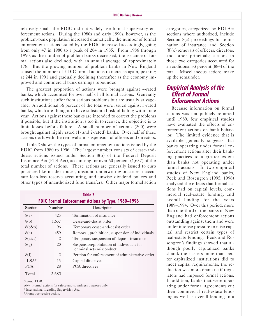relatively small, the FDIC did not widely use formal supervisory enforcement actions. During the 1980s and early 1990s, however, as the problem-bank population increased dramatically, the number of formal enforcement actions issued by the FDIC increased accordingly, going from only 47 in 1980 to a peak of 284 in 1985. From 1986 through 1990, as the number of problem banks decreased, the issuance of formal actions also declined, with an annual average of approximately 178. But the growing number of problem banks in New England caused the number of FDIC formal actions to increase again, peaking at 244 in 1991 and gradually declining thereafter as the economy improved and commercial bank earnings rebounded.

The greatest proportion of actions were brought against 4-rated banks, which accounted for over half of all formal actions. Generally such institutions suffer from serious problems but are usually salvageable. An additional 36 percent of the total were issued against 5-rated banks, which are thought to have substantial risk of failing within one year. Actions against these banks are intended to correct the problems if possible, but if the institution is too ill to recover, the objective is to limit losses before failure. A small number of actions (200) were brought against highly rated (1- and 2-rated) banks. Over half of these actions dealt with the removal and suspension of officers and directors.

Table 2 shows the types of formal enforcement actions issued by the FDIC from 1980 to 1996. The largest number consists of cease-anddesist actions issued under Section 8(b) of the Federal Deposit Insurance Act (FDI Act), accounting for over 60 percent (1,637) of the total number of actions. These actions are generally issued to curb practices like insider abuses, unsound underwriting practices, inaccurate loan-loss reserve accounting, and unwise dividend polices and other types of unauthorized fund transfers. 0ther major formal action

|                                                           |        | Table 2                                                               |  |  |
|-----------------------------------------------------------|--------|-----------------------------------------------------------------------|--|--|
| <b>FDIC Formal Enforcement Actions by Type, 1980-1996</b> |        |                                                                       |  |  |
| Section                                                   | Number | Description                                                           |  |  |
| 8(a)                                                      | 425    | Termination of insurance                                              |  |  |
| 8(b)                                                      | 1,637  | Cease-and-desist order                                                |  |  |
| 8(c&b)                                                    | 96     | Temporary cease-and-desist order                                      |  |  |
| 8(e)                                                      | 459    | Removal, prohibition, suspension of individuals                       |  |  |
| $8(a\&t)$                                                 | 2      | Temporary suspension of deposit insurance                             |  |  |
| 8(g)                                                      | 20     | Suspension/prohibition of individuals for<br>criminal acts misconduct |  |  |
| 8(I)                                                      | 2      | Petition for enforcement of administrative order                      |  |  |
| $ILSA*$                                                   | 13     | Capital directives                                                    |  |  |
| $PCA^{\dagger}$                                           | 28     | <b>PCA</b> directives                                                 |  |  |
| Total                                                     | 2,682  |                                                                       |  |  |

categories, categorized by FDI Act sections where authorized, include Section 8(a) proceedings for termination of insurance and Section (8)(e) removals of officers, directors, and other principals; actions in those two categories accounted for an additional 33 percent (884) of the total. Miscellaneous actions make up the remainder.

# **Empirical Analysis of the Effect of Formal Enforcement Actions**

Because information on formal actions was not publicly reported until 1989, few empirical studies have evaluated the effects of enforcement actions on bank behavior. The limited evidence that is available generally suggests that banks operating under formal enforcement actions alter their banking practices to a greater extent than banks not operating under formal actions. In two empirical studies of New England banks, Peek and Rosengren (1995, 1996) analyzed the effects that formal actions had on capital levels, commercial real-estate lending, and overall lending for the years 1989-1994. 0ver this period, more than one-third of the banks in New England had enforcement actions outstanding against them and were under intense pressure to raise capital and restrict certain types of real-estate lending. Peek and Rosengren's findings showed that although poorly capitalized banks shrank their assets more than better capitalized institutions did to meet capital requirements, the reduction was more dramatic if regulators had imposed formal actions. *Source:* FDIC. **In addition, banks that were oper-***Note:* Formal actions for safety-and-soundness purposes only. at a state and their commercial real agreements cut<br>
\*International Lending Supervision Act. \*International Lending Supervision Act.<br>
Their commercial real-estate lend-<br>
Their commercial real-estate lending as well as overall lending to a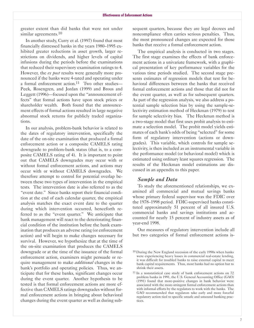greater extent than did banks that were not under similar agreements.<sup>10</sup>

In another study, Curry et al. (1997) found that most financially distressed banks in the years 1980-1995 exhibited greater reductions in asset growth, larger restrictions on dividends, and higher levels of capital infusions during the periods before the examinations that reduced their supervisory examination ratings to 4. However, the *ex post* results were generally more pronounced if the banks were 4-rated and operating under a formal enforcement action.<sup>11</sup> Two other studies-Peek, Rosengren, and Jordan (1999) and Brous and Leggett (1996)—focused upon the "announcement effects" that formal actions have upon stock prices or shareholder wealth. Both found that the announcement effects of formal actions resulted in large negative abnormal stock returns for publicly traded organizations.

In our analysis, problem-bank behavior is related to the dates of regulatory intervention, specifically the date of the on-site examination that produced a formal enforcement action or a composite CAMELS rating downgrade to problem-bank status (that is, to a composite CAMELS rating of 4). It is important to point out that CAMELS downgrades may occur with or without formal enforcement actions, and actions may occur with or without CAMELS downgrades. We therefore attempt to control for potential overlap between these two types of intervention in the empirical tests. The intervention date is also referred to as the "event date." Since banks report their financial condition at the end of each calendar quarter, the empirical analysis matches the exact event date to the quarter during which intervention occurred, henceforth referred to as the "event quarter." We anticipate that bank management will react to the deteriorating financial condition of the institution before the bank examination that produces an adverse rating (or enforcement action) and will begin to make changes necessary for survival. However, we hypothesize that at the time of the on-site examination that produces the CAMELS downgrade or at the time of the issuance of the formal enforcement action, examiners might persuade or require management to make *additional* changes in the bank's portfolio and operating policies. Thus, we anticipate that for these banks, significant changes occur during the event quarter. Another hypothesis to be tested is that formal enforcement actions are more effective than CAMELS ratings downgrades without formal enforcement actions in bringing about behavioral changes during the event quarter as well as during subsequent quarters, because they are legal decrees and noncompliance often carries serious penalties. Thus, the most pronounced changes are expected for those banks that receive a formal enforcement action.

The empirical analysis is conducted in two stages. The first stage examines the effects of bank enforcement actions in a univariate framework, with a graphical presentation of key performance variables for the various time periods studied. The second stage presents estimates of regression models that test for behavioral differences between the banks that received formal enforcement actions and those that did not for the event quarter, as well as for subsequent quarters. As part of the regression analysis, we also address a potential sample selection bias by using the sample-selectivity estimation method of Heckman (1979) to test for sample selectivity bias. The Heckman method is a two-stage model that first uses probit analysis to estimate a selection model. The probit model yields estimates of each bank's odds of being "selected" for some form of regulatory intervention (actions or downgrades). This variable, which controls for sample selectivity, is then included as an instrumental variable in the performance model (or behavioral model) which is estimated using ordinary least squares regression. The results of the Heckman model estimations are discussed in an appendix to this paper.

### *Sample and Data*

To study the aforementioned relationships, we examined all commercial and mutual savings banks whose primary federal supervisor was the FDIC over the 1978–1998 period. FDIC-supervised banks constituted approximately 51 percent of all insured U.S. commercial banks and savings institutions and accounted for nearly 15 percent of industry assets as of year-end 1998.

0ur measures of regulatory intervention include all but two categories of formal enforcement actions is-

<sup>10</sup> During the New England recession of the early 1990s when banks were experiencing heavy losses in commercial real-estate lending, it was difficult for troubled banks to raise external capital to meet bank capital requirements. Thus, most banks had no option but to shrink their assets.

<sup>11</sup> In a nonstatistical case study of bank enforcement actions on 72 problem banks in 1991, the U.S. General Accounting 0ffice (GA0) (1991) found that more-positive changes in bank behavior were associated with the more-stringent formal enforcement actions than with informal efforts by the regulators to work with the banks. The GA0 recommended that regulators take early and more forceful regulatory action tied to specific unsafe and unsound banking practices.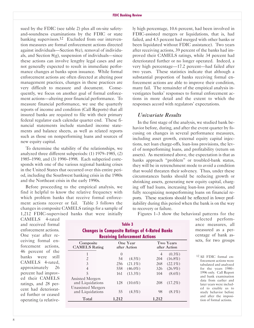sued by the FDIC (see table 2) plus all on-site safetyand-soundness examinations by the FDIC or state banking supervisors.<sup>12</sup> Excluded from our intervention measures are formal enforcement actions directed against individuals-Section 8(e), removal of individuals, and Section  $8(g)$ , suspension of individuals—since these actions can involve lengthy legal cases and are not generally expected to result in immediate performance changes at banks upon issuance. While formal enforcement actions are often directed at altering poor management practices, changes in these practices are very difficult to measure and document. Consequently, we focus on another goal of formal enforcement actions-altering poor financial performance. To measure financial performance, we use the quarterly reports of income and condition (Call Reports) that all insured banks are required to file with their primary federal regulator each calendar quarter end. These financial statements include standard income statements and balance sheets, as well as related reports such as those on nonperforming loans and sources of new equity capital.

To determine the stability of the relationships, we analyzed three different subperiods: (1) 1979-1985, (2) 1985-1990, and (3) 1990-1998. Each subperiod corresponds with one of the various regional banking crises in the United States that occurred over this entire period, including the Southwest banking crisis in the 1980s and the Northeast crisis in the early 1990s.

Before proceeding to the empirical analysis, we find it helpful to know the relative frequency with which problem banks that receive formal enforcement actions recover or fail. Table 3 follows the changes in composite CAMELS ratings for a sample of 1,212 FDIC-supervised banks that were initially

ly high percentage, 10.6 percent, had been involved in FDIC-assisted mergers or liquidations, that is, had failed, and 4.5 percent had merged with other banks or been liquidated without FDIC assistance). Two years after receiving actions, 39 percent of the banks had improved their CAMELS ratings, while 34 percent had deteriorated further or no longer operated. Indeed, a very high percentage—17.2 percent—had failed after two years. These statistics indicate that although a substantial proportion of banks receiving formal enforcement actions are able to improve their condition, many fail. The remainder of the empirical analysis investigates banks' responses to formal enforcement actions in more detail and the extent to which the responses accord with regulators' expectations.

### *Univariate Results*

 to recovery or failure. In the first stage of the analysis, we studied bank behavior before, during, and after the event quarter by focusing on changes in several performance measures, including asset growth, external equity capital injections, net loan charge-offs, loan-loss provisions, the level of nonperforming loans, and profitability (return on assets). As mentioned above, the expectation is that as banks approach "problem" or troubled-bank status, they will be in retrenchment mode to avoid a condition that would threaten their solvency. Thus, under these circumstances banks should be reducing growth or shrinking assets, generating new equity capital, charging off bad loans, increasing loan-loss provisions, and fully recognizing nonperforming loans on financial reports. These reactions should be reflected in lower profitability during this period when the bank is on the way

CAMELS 4-rated and received formal enforcement actions. 0ne year after receiving formal enforcement actions, 46 percent of the banks were still CAMELS 4-rated, approximately 26 percent had improved their CAMELS ratings, and 28 percent had deteriorated further or ceased operating (a relative-

| <b>Changes in Composite Ratings of 4-Rated Banks</b><br><b>Receiving Enforcement Actions</b> |                  |                          |       |                                  |
|----------------------------------------------------------------------------------------------|------------------|--------------------------|-------|----------------------------------|
| Composite<br><b>CAMELS</b> Rating                                                            |                  | One Year<br>after Action |       | <b>Two Years</b><br>after Action |
|                                                                                              | $\left( \right)$ |                          | 4     | $(0.3\%)$                        |
| 2                                                                                            | 54               | $(4.5\%)$                | 204   | $(16.8\%)$                       |
| $\mathfrak{Z}$                                                                               | 256              | $(21.1\%)$               | 268   | $(22.1\%)$                       |
| 4                                                                                            | 558              | $(46.0\%)$               | 326   | $(26.9\%)$                       |
| 5                                                                                            | 161              | $(13.3\%)$               | 104   | $(8.6\%)$                        |
| Assisted Mergers<br>and Liquidations                                                         | 128              | $(10.6\%)$               | 208   | $(17.2\%)$                       |
| <b>Unassisted Mergers</b><br>and Liquidations                                                | 55               | $(4.5\%)$                | 98    | $(8.1\%)$                        |
| Total                                                                                        | 1,212            |                          | 1,212 |                                  |
|                                                                                              |                  |                          |       |                                  |

**Table 3**

Figures 1-3 show the behavioral patterns for the

selected performance measures, all measured as a percentage of bank assets, for two groups

12 All FDIC formal enforcement actions were tabulated and analyzed for the years 1980- 1996 only. Call Report and bank examination data from earlier and later years were included to enable us to study behavior before and after the imposition of formal actions.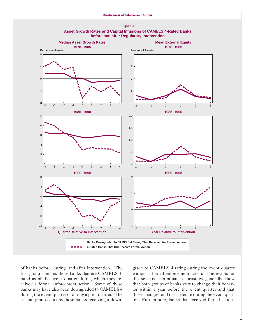



of banks before, during, and after intervention. The first group contains those banks that are CAMELS 4 rated as of the event quarter during which they received a formal enforcement action. Some of these banks may have also been downgraded to CAMELS 4 during the event quarter or during a prior quarter. The second group contains those banks receiving a down-

grade to CAMELS 4 rating during the event quarter without a formal enforcement action. The results for the selected performance measures generally show that both groups of banks start to change their behavior within a year before the event quarter and that those changes tend to accelerate during the event quarter. Furthermore, banks that received formal actions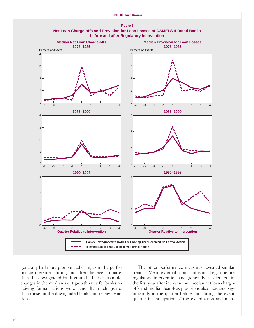





generally had more pronounced changes in the performance measures during and after the event quarter than the downgraded bank group had. For example, changes in the median asset growth rates for banks receiving formal actions were generally much greater than those for the downgraded banks not receiving actions.

The other performance measures revealed similar trends. Mean external capital infusions began before regulatory intervention and generally accelerated in the first year after intervention; median net loan chargeoffs and median loan-loss provisions also increased significantly in the quarter before and during the event quarter in anticipation of the examination and man-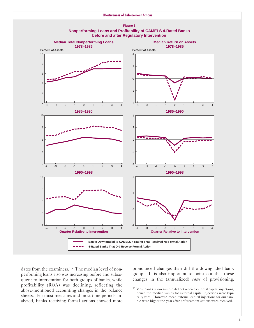



dates from the examiners.<sup>13</sup> The median level of nonperforming loans also was increasing before and subsequent to intervention for both groups of banks, while profitability (R0A) was declining, reflecting the above-mentioned accounting changes in the balance sheets. For most measures and most time periods analyzed, banks receiving formal actions showed more

pronounced changes than did the downgraded bank group. It is also important to point out that these changes in the (annualized) *rates* of provisioning,

<sup>13</sup> Most banks in our sample did not receive external capital injections, hence the median values for external capital injections were typically zero. However, mean external capital injections for our sample were higher the year after enforcement actions were received.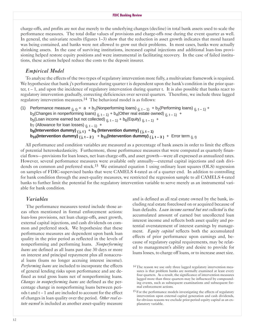tions, these actions helped reduce the costs to the deposit insurer. charge-offs, and profits are not due merely to the underlying changes (decline) in total bank assets used to scale the performance measures. The total dollar values of provisions and charge-offs rose during the event quarter as well. In general, the univariate results (figures 1-3) show that the reduction in asset growth indicates that moral hazard was being contained, and banks were not allowed to grow out their problems. In most cases, banks were actually shrinking assets. In the case of surviving institutions, increased capital injections and additional loan-loss provisioning helped restore equity positions and were instrumental in facilitating recovery. In the case of failed institu-

### *Empirical Model*

To analyze the effects of the two types of regulatory intervention more fully, a multivariate framework is required. We hypothesize that bank j's performance during quarter t is dependent upon the bank's condition in the prior quarter,  $t - 1$ , and upon the incidence of regulatory intervention during quarter t. It is also possible that banks react to regulatory intervention gradually, correcting deficiencies over several quarters. Therefore, we include three lagged regulatory intervention measures.14 The behavioral model is as follows:

(1) Performance measure  $(i, t) = a + b_1(Nonperforming loans)$   $(i, t-1) + b_2(Performing loans)$   $(i, t-1) +$ b<sub>3</sub>(Changes in nonperforming loans)  $_{(i, t-1)} + b_4$ (Other real estate owned)  $_{(i, t-1)} +$ b<sub>5</sub>(Loan income earned but not collected)  $_{(j, t-1)} + b_6$ (Equity)  $_{(j, t-1)} +$ b<sub>7</sub> (Allowance for loan losses)  $(i, t-1)$  +  $b_8$ (Intervention dummy)  $(i, t)$ <sup>+</sup>  $b_9$  (Intervention dummy)  $(i, t-1)$ **b<sub>10</sub>(Intervention dummy)**  $(i, t-2)$  + **b<sub>11</sub>(Intervention dummy)**  $(i, t-3)$  + Error term  $(i, t)$ 

All performance and condition variables are measured as a percentage of bank assets in order to limit the effects of potential heteroskedasticity. Furthermore, those performance measures that were computed as quarterly financial flows—provisions for loan losses, net loan charge-offs, and asset growth—were all expressed as annualized rates. However, several performance measures were available only annually-external capital injections and cash dividends on common and preferred stock.<sup>15</sup> We estimated equation 1 using ordinary least squares (OLS) regression on samples of FDIC-supervised banks that were CAMELS 4-rated as of a quarter end. In addition to controlling for bank condition through the asset-quality measures, we restricted the regression sample to all CAMELS 4-rated banks to further limit the potential for the regulatory intervention variable to serve merely as an instrumental variable for bank condition.

### *Variables*

The performance measures tested include those areas often mentioned in formal enforcement actions: loan-loss provisions, net loan charge-offs, asset growth, external capital injections, and cash dividends on common and preferred stock. We hypothesize that these performance measures are dependent upon bank loan quality in the prior period as reflected in the levels of nonperforming and performing loans. *Non erforming loans* are defined as all loans past due 30 days or more on interest and principal repayment plus all nonaccrual loans (loans no longer accruing interest income). *Performing loans* are included to incorporate the effects of general lending risks upon performance and are defined as total gross loans net of nonperforming loans. *Changes in nonperforming loans* are defined as the percentage change in nonperforming loans between periods t and  $t - 1$  and are included to account for the effect of changes in loan quality over the period. Other real es*tate owned* is included as another asset-quality measure

and is defined as all real estate owned by the bank, including real estate foreclosed on or acquired because of loan defaults. *Loan income earned but not collected* is the accumulated amount of earned but uncollected loan interest income and reflects both asset quality and potential overstatement of interest earnings by management. *Equity capital* reflects both the accumulated effects of prior performance upon earnings and, because of regulatory capital requirements, may be related to management's ability and desire to provide for loans losses, to charge off loans, or to increase asset size.

<sup>14</sup> The reason we use only three lagged regulatory intervention measures is that problem banks are normally examined at least every four quarters. As a result, the significance of intervention measures lagged more than three quarters may be influenced by compounding events, such as subsequent examinations and subsequent formal enforcement actions.

<sup>&</sup>lt;sup>15</sup> For the performance models investigating the effects of regulatory intervention upon external capital generation and cash dividends, for obvious reasons we exclude prior-period equity capital as an explanatory variable.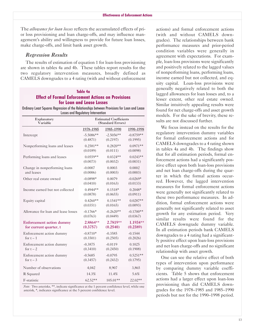The *allowance for loan losses* reflects the accumulated effects of prior loss provisioning and loan charge-offs, and may influence management's ability and willingness to provide for future loan losses, make charge-offs, and limit bank asset growth.

### *Regression Results*

The results of estimation of equation 1 for loan-loss provisioning are shown in tables 4a and 4b. These tables report results for the two regulatory intervention measures, broadly defined as CAMELS downgrades to a 4 rating (with and without enforcement

### **Table 4a Effect of Formal Enforcement Actions on Provisions for Loan and Lease Losses**

Ordinary Least Squares Regression of the Relationships between Provisions for Loan and Lease Losses and Regulatory Intervention

| Explanatory                         | <b>Estimated Coefficients</b> |             |             |
|-------------------------------------|-------------------------------|-------------|-------------|
| Variable                            | (Standard Errors)             |             |             |
|                                     | 1978-1985                     | 1985-1990   | 1990-1998   |
| Intercept                           | $-5.5086**$                   | $-2.5056**$ | $-0.8759**$ |
|                                     | (0.4871)                      | (0.2197)    | (0.1995)    |
| Nonperforming loans and leases      | $0.2581**$                    | $0.2820**$  | $0.0971**$  |
|                                     | (0.0189)                      | (0.0111)    | (0.0098)    |
| Performing loans and leases         | $0.0559**$                    | $0.0324**$  | $0.0243**$  |
|                                     | (0.0073)                      | (0.0032)    | (0.0031)    |
| Change in nonperforming loans       | $-0.0007$                     | 0.0003      | 0.0002      |
| and leases                          | (0.0006)                      | (0.0003)    | (0.0003)    |
| Other real estate owned             | $-0.0898*$                    | 0.0079      | $-0.0269*$  |
|                                     | (0.0410)                      | (0.0163)    | (0.0133)    |
| Income earned but not collected     | $0.4944**$                    | $0.1518*$   | $0.2048*$   |
|                                     | (0.0878)                      | (0.0655)    | (0.0911)    |
| Equity capital                      | $0.4260**$                    | $0.1541**$  | $0.0287**$  |
|                                     | (0.0351)                      | (0.0165)    | (0.0093)    |
| Allowance for loan and lease losses | $-0.1766*$                    | $-0.2620**$ | $-0.1700**$ |
|                                     | (0.0763)                      | (0.0449)    | (0.0367)    |
| <b>Enforcement action dummy</b>     | 2.8864**                      | 2.7819**    | 1.1934**    |
| for current quarter, t              | (0.3757)                      | (0.2540)    | (0.2389)    |
| Enforcement action dummy            | $-0.8710*$                    | $-0.3585$   | $-0.1544$   |
| for $t - 1$                         | (0.3501)                      | (0.2505)    | (0.2026)    |
| Enforcement action dummy            | $-0.3875$                     | $-0.0119$   | 0.1025      |
| for $t - 2$                         | (0.3410)                      | (0.2450)    | (0.1908)    |
| Enforcement action dummy            | $-0.5685$                     | $-0.0795$   | $0.5251**$  |
| for $t-3$                           | (0.3457)                      | (0.2432)    | (0.1795)    |
| Number of observations              | 4,042                         | 8,907       | 3,865       |
| R Squared                           | 14.3%                         | 11.4%       | 5.6%        |
| F-statistic                         | $62.52**$                     | $105.01**$  | 22.02**     |

*Note:* Two asterisks, \*\*, indicate significance at the 1 percent confidence level, while one asterisk, \*, indicates significance at the 5 percent confidence level.

actions) and formal enforcement actions (with and without CAMELS downgrades). The relationships between bank performance measures and prior-period condition variables were generally in agreement with expectations. For example, loan-loss provisions were significantly and positively related to the lagged values of nonperforming loans, performing loans, income earned but not collected, and equity capital. Loan-loss provisions were generally negatively related to both the lagged allowances for loan losses and, to a lesser extent, other real estate owned. Similar intuitively appealing results were found for net charge-offs and asset growth models. For the sake of brevity, these results are not discussed further.

We focus instead on the results for the regulatory intervention dummy variables for formal enforcement actions and for CAMELS downgrades to a 4 rating shown in tables 4a and 4b. The findings show that for all estimation periods, formal enforcement actions had a significantly positive effect upon both loan-loss provisions and net loan charge-offs during the quarter in which the formal actions occurred. However, the lagged intervention measures for formal enforcement actions were generally not significantly related to these two performance measures. In addition, formal enforcement actions were generally not significantly related to asset growth for any estimation period. Very similar results were found for the CAMELS downgrade dummy variable. In all estimation periods bank CAMELS downgrades to a 4 rating had a significantly positive effect upon loan-loss provisions and net loan charge-offs and no significant relationship with asset growth.

0ne can see the relative effect of both types of intervention upon performance by comparing dummy variable coefficients. Table 5 shows that enforcement actions had a larger effect upon loan-loss provisioning than did CAMELS downgrades for the 1978-1985 and 1985-1990 periods but not for the 1990-1998 period.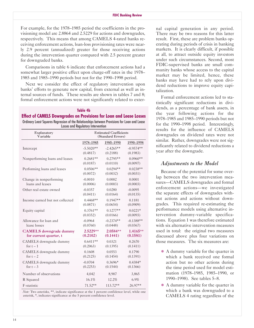For example, for the 1978-1985 period the coefficients in the provisioning model are 2.8864 and 2.5229 for actions and downgrades, respectively. This means that among CAMELS 4-rated banks receiving enforcement actions, loan-loss provisioning rates were nearly 2.9 percent (annualized) greater for those receiving actions during the intervention quarter compared with 2.5 percent greater for downgraded banks.

Comparisons in table 6 indicate that enforcement actions had a somewhat larger positive effect upon charge-off rates in the 1978– 1985 and 1985-1990 periods but not for the 1990-1998 period.

Next we consider the effect of regulatory intervention upon banks' efforts to generate new capital, from external as well as internal sources of funds. These results are shown in tables 7 and 8; formal enforcement actions were not significantly related to exter-

#### **Table 4b**

**Effect of CAMELS Downgrades on Provisions for Loan and Lease Losses** Ordinary Least Squares Regression of the Relationships between Provisions for Loan and Lease Losses and Regulatory Intervention

| Explanatory<br>Variable         |             | <b>Estimated Coefficients</b><br>(Standard Errors) |             |  |
|---------------------------------|-------------|----------------------------------------------------|-------------|--|
|                                 | 1978-1985   | 1985-1990                                          | 1990-1998   |  |
| Intercept                       | $-5.5020**$ | $-2.4265**$                                        | $-0.9574**$ |  |
|                                 | (0.4817)    | (0.2188)                                           | (0.1983)    |  |
| Nonperforming loans and leases  | $0.2681**$  | $0.2795**$                                         | $0.0960**$  |  |
|                                 | (0.0187)    | (0.0110)                                           | (0.0097)    |  |
| Performing loans and leases     | $0.0506**$  | $0.0294**$                                         | $0.0238**$  |  |
|                                 | (0.0072)    | (0.0032)                                           | (0.0031)    |  |
| Change in nonperforming         | $-0.0010$   | 0.0002                                             | 0.0001      |  |
| loans and leases                | (0.0006)    | (0.0003)                                           | (0.0003)    |  |
| Other real estate owned         | $-0.0357$   | 0.0280                                             | $-0.0095$   |  |
|                                 | (0.0411)    | (0.0164)                                           | (0.0135)    |  |
| Income earned but not collected | $0.4468**$  | $0.1947**$                                         | 0.1181      |  |
|                                 | (0.0871)    | (0.0654)                                           | (0.0909)    |  |
| Equity capital                  | $0.3761**$  | $0.1277**$                                         | $0.0221*$   |  |
|                                 | (0.0352)    | (0.0166)                                           | (0.0093)    |  |
| Allowance for loan and          | $-0.0964$   | $-0.2374**$                                        | $-0.1388**$ |  |
| lease losses                    | (0.0760)    | (0.0448)                                           | (0.0367)    |  |
| <b>CAMELS</b> downgrade dummy   | 2.5229**    | 2.0584**                                           | 1.4165**    |  |
| for current quarter, t          | (0.2102)    | (0.1441)                                           | (0.1581)    |  |
| CAMELS downgrade dummy          | $0.6411**$  | 0.0321                                             | 0.2670      |  |
| for $t - 1$                     | (0.2063)    | (0.1395)                                           | (0.1411)    |  |
| CAMELS downgrade dummy          | 0.1608      | 0.0553                                             | 0.1790      |  |
| for $t - 2$                     | (0.2125)    | (0.1454)                                           | (0.1391)    |  |
| CAMELS downgrade dummy          | $-0.0704$   | $0.3696*$                                          | $0.4384*$   |  |
| for $t - 3$                     | (0.2253)    | (0.1544)                                           | (0.1366)    |  |
| Number of observations          | 4,042       | 8,907                                              | 3,865       |  |
| R Squared                       | 16.1%       | 12.2%                                              | 6.9%        |  |
| F-statistic                     | $71.52**$   | 113.72**                                           | 26.97**     |  |

*Note:* Two asterisks, \*\*, indicate significance at the 1 percent confidence level, while one asterisk, \*, indicates significance at the 5 percent confidence level.

nal capital generation in any period. There may be two reasons for this latter result. First, these are problem banks operating during periods of crisis in banking markets. It is clearly difficult, if possible at all, to attract outside equity investors under such circumstances. Second, most FDIC-supervised banks are small community banks whose access to the capital market may be limited, hence, these banks may have had to rely upon dividend reductions to improve equity capitalization.

Formal enforcement actions led to statistically significant reductions in dividends, as a percentage of bank assets, in the year following actions for the 1978-1985 and 1985-1990 periods but not for the 1990-1998 period. Interestingly, results for the influence of CAMELS downgrades on dividend rates were not similar. Rather, downgrades were not significantly related to dividend reductions a year after the downgrade.

### *Adjustments to the Model*

Because of the potential for some overlap between the two intervention measures-CAMELS downgrades and formal enforcement actions-we investigated the separate effects of downgrades without actions and actions without downgrades. This required re-estimating the performance models using alternative intervention dummy-variable specifications. Equation 1 was therefore estimated with six alternative intervention measures used in total: the original two measures discussed above plus four variations on those measures. The six measures are:

- � A dummy variable for the quarter in which a bank received one formal action but no other actions during the time period used for model estimation (1978-1985, 1985-1990, or 1990-1998). See tables 5-8.
- � A dummy variable for the quarter in which a bank was downgraded to a CAMELS 4 rating regardless of the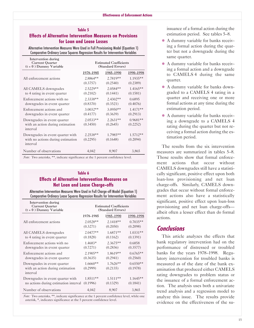### **Table 5 Effects of Alternative Intervention Measures on Provisions for Loan and Lease Losses**

Alternative Intervention Measures Were Used in Full Provisioning Model (Equation 1) Comparative Ordinary Lease Squares Regression Results for Intervention Variables

| Intervention during<br><b>Current Quarter</b><br>$(t = 0)$ Dummy Variable         | <b>Estimated Coefficients</b><br>(Standard Errors) |                        |                        |
|-----------------------------------------------------------------------------------|----------------------------------------------------|------------------------|------------------------|
|                                                                                   | 1978–1985                                          | 1985-1990              | 1990-1998              |
| All enforcement actions                                                           | $2.8864**$<br>(0.3757)                             | $2.7819**$<br>(0.2540) | $1.1935**$<br>(0.2389) |
| All CAMELS downgrades<br>to 4 rating in event quarter                             | $2.5229**$<br>(0.2102)                             | $2.0584**$<br>(0.1441) | $1.4165**$<br>(0.1581) |
| Enforcement actions with no<br>downgrades in event quarter                        | 2.3338**<br>(0.8370)                               | $2.4302**$<br>(0.3521) | 0.6895<br>(0.4076)     |
| Enforcement actions and<br>downgrades in event quarter                            | $3.0032**$<br>(0.4177)                             | $3.0950**$<br>(0.3639) | $1.4171**$<br>(0.2913) |
| Downgrades in event quarter<br>with an action during estimation<br>interval       | $2.0533**$<br>(0.3450)                             | $2.2631**$<br>(0.2645) | $0.9681**$<br>(0.2252) |
| Downgrades in event quarter with<br>with no actions during estimation<br>interval | $2.2538**$<br>(0.2295)                             | 1.7985**<br>(0.1648)   | $1.5712**$<br>(0.2094) |
| Number of observations                                                            | 4,042                                              | 8,907                  | 3,865                  |

*Note:* Two asterisks, \*\*, indicate significance at the 1 percent confidence level.

### **Table 6 Effects of Alternative Intervention Measures on Net Loan and Lease Charge-offs**

Alternative Intervention Measures Were Used in Full Charge-off Model (Equation 1) Comparative Ordinary Lease Squares Regression Results for Intervention Variables

| Intervention during<br><b>Current Quarter</b><br>$(t = 0)$ Dummy Variable   | <b>Estimated Coefficients</b><br>(Standard Errors) |                        |                        |  |
|-----------------------------------------------------------------------------|----------------------------------------------------|------------------------|------------------------|--|
|                                                                             | 1978-1985                                          | 1985-1990              | 1990-1998              |  |
| All enforcement actions                                                     | $2.0528**$                                         | $2.1418**$             | $0.7035**$             |  |
|                                                                             | (0.3271)                                           | (0.2050)               | (0.2098)               |  |
| All CAMELS downgrades                                                       | $2.0477**$                                         | $1.6871**$             | $1.0331**$             |  |
| to 4 rating in event quarter                                                | (0.1828)                                           | (0.1162)               | (0.1391)               |  |
| Enforcement actions with no                                                 | 1.4683*                                            | $2.3675**$             | 0.6858                 |  |
| downgrades in event quarter                                                 | (0.7271)                                           | (0.2836)               | (0.3577)               |  |
| Enforcement actions and                                                     | $2.1905**$                                         | $1.8619**$             | $0.6765**$             |  |
| downgrades in event quarter                                                 | (0.3635)                                           | (0.2941)               | (0.2560)               |  |
| Downgrades in event quarter<br>with an action during estimation<br>interval | $1.6660**$<br>(0.2999)                             | $1.7626**$<br>(0.2135) | $0.6550**$<br>(0.1978) |  |
| Downgrades in event quarter with                                            | $1.8511**$                                         | $1.5111**$             | $1.1645**$             |  |
| no actions during estimation interval                                       | (0.1996)                                           | (0.1329)               | (0.1841)               |  |
| Number of observations                                                      | 4,042                                              | 8,907                  | 3,865                  |  |

*Note:* Two asterisks, \*\*, indicate significance at the 1 percent confidence level, while one asterisk, \*, indicates significance at the 5 percent confidence level.

issuance of a formal action during the estimation period. See tables 5-8.

- � A dummy variable for banks receiving a formal action during the quarter but not a downgrade during the same quarter.
- � A dummy variable for banks receiving a formal action and a downgrade to CAMELS 4 during the same quarter.
- � A dummy variable for banks downgraded to a CAMELS 4 rating in a quarter and receiving one or more formal actions at any time during the estimation period.
- � A dummy variable for banks receiving a downgrade to a CAMELS 4 rating during the quarter but not receiving a formal action during the estimation period.

The results from the six intervention measures are summarized in tables 5-8. Those results show that formal enforcement actions that occur without CAMELS downgrades still have a statistically significant, positive effect upon both loan-loss provisioning and net loan charge-offs. Similarly, CAMELS downgrades that occur without formal enforcement actions also have a statistically significant, positive effect upon loan-loss provisioning and net loan charge-offsalbeit often a lesser effect than do formal actions.

# **Conclusions**

This article analyzes the effects that bank regulatory intervention had on the performance of distressed or troubled banks for the years 1978-1998. Regulatory intervention for troubled banks is measured as of the date of the bank examination that produced either CAMELS rating downgrades to problem status or the issuance of a formal enforcement action. The analysis uses both a univariate trend analysis and a regression model to analyze this issue. The results provide evidence on the effectiveness of the su-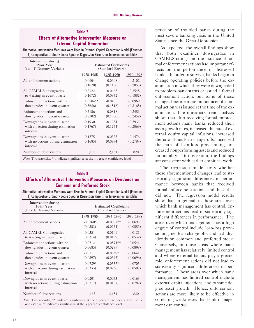# Effects of Alternative Intervention Measures on<br>
External Capital Generation<br>
Alternative Intervention Measures Were Used in External Capital Generation<br>
Alternative Intervention Measures Were Used in External Capital Gene

| Intervention during<br>Prior Year<br>$(t = -1)$ Dummy Variable               | <b>Estimated Coefficients</b><br>(Standard Errors) |                       |                       |
|------------------------------------------------------------------------------|----------------------------------------------------|-----------------------|-----------------------|
|                                                                              | 1978-1985                                          | 1985-1990             | 1990-1998             |
| All enforcement actions                                                      | 0.0904<br>(0.1870)                                 | $-0.0608$<br>(0.1186) | $-0.2102$<br>(0.2053) |
| All CAMELS downgrades<br>to 4 rating in event quarter                        | $-0.2122$<br>(0.1672)                              | $-0.0462$<br>(0.0842) | $-0.3548$<br>(0.1882) |
| Enforcement actions with no<br>downgrades in event quarter                   | $1.0504**$<br>(0.3626)                             | $-0.040$<br>(0.1518)  | $-0.0969$<br>(0.3165) |
| Enforcement actions and<br>downgrades in event quarter                       | $-0.2156$<br>(0.2102)                              | $-0.0818$<br>(0.1806) | $-0.2481$<br>(0.2452) |
| Downgrades in event quarter<br>with an action during estimation<br>interval  | $-0.1930$<br>(0.1767)                              | $-0.1254$<br>(0.1244) | $-0.2932$<br>(0.2069) |
| Downgrades in event quarter<br>with no actions during estimation<br>interval | 0.1275<br>(0.1685)                                 | 0.0322<br>(0.0994)    | $-0.1476$<br>(0.2784) |
| Number of observations                                                       | 1,162                                              | 2,151                 | 820                   |

*Note:* Two asterisks, \*\*, indicate significance at the 1 percent confidence level.

# **Effects of Alternative Intervention Measures on Dividends on** tistically significant differences in perfor-

Alternative Intervention Measures Were Used in External Capital Generation Model (Equation<br>1) Comparative Ordinary Lease Squares Regression Results for Intervention Variables didnot. The regression model results

| Intervention during<br>Prior Year<br>$(t = -1)$ Dummy Variable               | <b>Estimated Coefficients</b><br>(Standard Errors) |                         |                       |
|------------------------------------------------------------------------------|----------------------------------------------------|-------------------------|-----------------------|
|                                                                              | 1978-1985                                          | 1985-1990               | 1990-1998             |
| All enforcement actions                                                      | $-0.0760*$<br>(0.0353)                             | $-0.0907**$<br>(0.0224) | $-0.0693$<br>(0.0583) |
| All CAMELS downgrades<br>to 4 rating in event quarter                        | $-0.0351$<br>(0.0314)                              | $-0.0109$<br>(0.0159)   | $-0.0121$<br>(0.0532) |
| Enforcement actions with no<br>downgrades in event quarter                   | $-0.0712$<br>(0.0685)                              | $-0.0874**$<br>(0.0289) | $-0.0541$<br>(0.0898) |
| Enforcement actions and<br>downgrades in event quarter                       | $-0.0711$<br>(0.0397)                              | $-0.0839*$<br>(0.0342)  | $-0.0641$<br>(0.0696) |
| Downgrades in event quarter<br>with an action during estimation<br>interval  | $-0.0729*$<br>(0.0333)                             | $-0.0537*$<br>(0.0236)  | $-0.0705$<br>(0.0587) |
| Downgrades in event quarter<br>with no actions during estimation<br>interval | $-0.0201$<br>(0.0317)                              | $-0.0043$<br>(0.0187)   | $-0.0163$<br>(0.0782) |
| Number of observations                                                       | 1,162                                              | 2,151                   | 820                   |

one asterisk, \*, indicates significance at the 5 percent confidence level. ment can control.

**Table 7 Case 2 Pervision** of troubled banks during the **Table 7 Case 2 Personal contract 2 Personal contract 2 Case 2 Case 2 Case 2 Case 2 Case 2 Case 2 Case 2 Case 2 Case 2 Case 2 Case 2**

CAMELS ratings and the issuance of formal enforcement actions had important effects on the performance of distressed banks. In order to survive, banks began to change operating policies before the examination in which they were downgraded to problem-bank status or issued a formal enforcement action, but some of these changes became more pronounced if a formal action was issued at the time of the examination. The univariate trend analysis shows that after receiving formal enforcement actions many banks reduced their asset growth rates, increased the rate of external equity capital infusions, increased<br>the rate of net loan charge-offs, increased the rate of loan-loss provisioning, increased nonperforming assets and reduced<br>profitability. To this extent, the findings are consistent with earlier empirical work.

The regression model tests whether **Table 8** these aforementioned changes lead to sta-**Common and Preferred Stock**<br>**Common and Preferred Stock**<br>**Common and those that**<br>**Common** and those that<br>**Common** and those that show that, in general, in those areas over which bank management has control, enforcement actions lead to statistically significant differences in performance. The areas over which management has a high degree of control include loan-loss provisioning, net loan charge-offs, and cash dividends on common and preferred stock. Conversely, in those areas where bank management has relatively limited control and where external factors play a greater role, enforcement actions did not lead to statistically significant differences in per formance. Those areas over which bank management has limited control include external capital injections, and to some degree asset growth. Hence, enforcement actions are more likely to be effective in *Note:* Two asterisks, \*\*, indicate significance at the 1 percent confidence level, while correcting weaknesses that bank manage-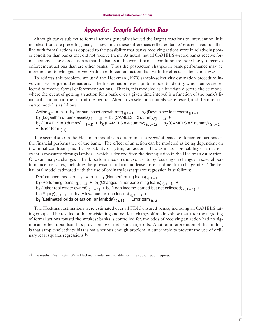# **Appendix: Sample Selection Bias**

Although banks subject to formal actions generally showed the largest reactions to intervention, it is not clear from the preceding analysis how much these differences reflected banks' greater need to fall in line with formal actions as opposed to the possibility that banks receiving actions were in relatively poorer condition than banks that did not receive them. As noted, not all CAMELS 4rated banks receive formal actions. The expectation is that the banks in the worst financial condition are more likely to receive enforcement actions than are other banks. Thus the post-action changes in bank performance may be more related to who gets served with an enforcement action than with the effects of the action *er se*.

To address this problem, we used the Heckman (1979) sample-selectivity estimation procedure involving two sequential equations. The first equation uses a probit model to identify which banks are selected to receive formal enforcement actions. That is, it is modeled as a bivariate discrete choice model where the event of getting an action for a bank over a given time interval is a function of the bank's financial condition at the start of the period. Alternative selection models were tested, and the most accurate model is as follows:

Action  $_{(i, t)} = a + b_1$  (Annual asset growth rate)  $_{(i, t-1)} + b_2$  (Days since last exam)  $_{(i, t-1)} +$ b<sub>3</sub> (Logarithm of bank assets)  $(i, t-1)$  + b<sub>4</sub> (CAMELS = 2 dummy) $(i, t-1)$  +  $b_5$  (CAMELS = 3 dummy)  $(i, t-1) + b_6$  (CAMELS = 4 dummy)  $(i, t-1) + b_7$  (CAMELS = 5 dummy)  $(i, t-1)$  $+$  Error term  $(i, t)$ 

The second step in the Heckman model is to determine the *ex post* effects of enforcement actions on the financial performance of the bank. The effect of an action can be modeled as being dependent on the initial condition plus the probability of getting an action. The estimated probability of an action event is measured through lambda—which is derived from the first equation in the Heckman estimation. 0ne can analyze changes in bank performance on the event date by focusing on changes in several performance measures, including the provision for loan and lease losses and net loan charge-offs. The behavioral model estimated with the use of ordinary least squares regression is as follows:

Performance measure  $(i, t) = a + b_1$  (Nonperforming loans)  $(i, t-1)$  +

b<sub>2</sub> (Performing loans)  $(i, t-1)$  + b<sub>3</sub> (Changes in nonperforming loans)  $(i, t-1)$  +

 $b_4$  (Other real estate owned)  $(i, t-1)$  +  $b_5$  (Loan income earned but not collected)  $(i, t-1)$  +

 $b_6$  (Equity)  $_{(j, t-1)} + b_7$  (Allowance for loan losses)  $_{(j, t-1)} +$ 

**b<sub>8</sub> (Estimated odds of action, or lambda)**  $(i, t)$  **+ Error term**  $(i, t)$ 

The Heckman estimations were estimated over all FDIC-insured banks, including all CAMELS rating groups. The results for the provisioning and net loan charge-off models show that after the targeting of formal actions toward the weakest banks is controlled for, the odds of receiving an action had no significant effect upon loan-loss provisioning or net loan charge-offs. Another interpretation of this finding is that sample-selectivity bias is not a serious enough problem in our sample to prevent the use of ordinary least squares regressions.16

<sup>16</sup> The results of estimation of the Heckman model are available from the authors upon request.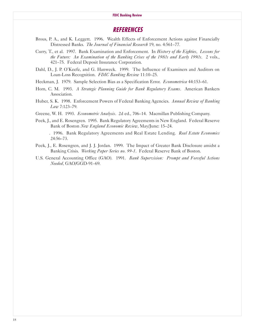#### **FDIC Banking Review**

### **REFERENCES**

- Brous, P. A., and K. Leggett. 1996. Wealth Effects of Enforcement Actions against Financially Distressed Banks. *The Journal of Financial Research* 19, no. 4:561-77.
- Curry, T., et al. 1997. Bank Examination and Enforcement. In *History of the Eighties, Lessons for the Future: An Examination of the Banking Crises of the 1980s and Early 1990s.* 2 vols., 421-75. Federal Deposit Insurance Corporation.
- Dahl, D., J. P. 0'Keefe, and G. Hanweck. 1999. The Influence of Examiners and Auditors on Loan-Loss Recognition. *FDIC Banking Review* 11:10-25.
- Heckman, J. 1979. Sample Selection Bias as a Specification Error. *Econometrica* 44:153-61.
- Horn, C. M. 1993. *A Strategic Planning Guide for Bank Regulatory Exams*. American Bankers Association.
- Huber, S. K. 1998. Enforcement Powers of Federal Banking Agencies. *Annual Review of Banking Law* 7:123-79.
- Greene, W. H. 1993. *Econometric Analysis*. 2d ed., 706-14. Macmillan Publishing Company.
- Peek, J., and E. Rosengren. 1995. Bank Regulatory Agreements in New England. Federal Reserve Bank of Boston *New England Economic Review*, May/June: 15-24.
	- . 1996. Bank Regulatory Agreements and Real Estate Lending. *Real Estate Economics* 24:56-73.
- Peek, J., E. Rosengren, and J. J. Jordan. 1999. The Impact of Greater Bank Disclosure amidst a Banking Crisis. *Working Paper Series no. 99-1*. Federal Reserve Bank of Boston.
- U.S. General Accounting Office (GAO). 1991. *Bank Supervision: Prompt and Forceful Actions Needed*, GAO/GGD-91-69.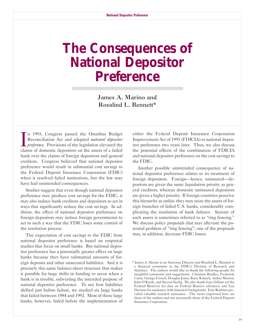# <span id="page-20-0"></span>**The Consequences of National Depositor Preference**

James A. Marino and Rosalind L. Bennett\*

I n 1993, Congress passed the 0mnibus Budget Reconciliation Act and adopted *national depositor preference.* Provisions of the legislation elevated the claims of domestic depositors on the assets of a failed bank over the claims of foreign depositors and general creditors. Congress believed that national depositor preference would result in substantial cost savings to the Federal Deposit Insurance Corporation (FDIC) when it resolved failed institutions, but the law may have had unintended consequences.

Studies suggest that even though national depositor preference may produce cost savings for the FDIC, it may also induce bank creditors and depositors to act in ways that significantly reduce the cost savings. In addition, the effect of national depositor preference on foreign depositors may induce foreign governments to act in such a way that the FDIC loses some control of the resolution process.

The expectation of cost savings to the FDIC from national depositor preference is based on empirical studies that focus on small banks. But national depositor preference has a potentially greater effect on large banks because they have substantial amounts of foreign deposits and other unsecured liabilities. And it is precisely this same balance-sheet structure that makes it possible for large shifts in funding to occur when a bank is in trouble, subverting the intended purpose of national depositor preference. To see how liabilities shifted just before failure, we studied six large banks that failed between 1984 and 1992. Most of these large banks, however, failed before the implementation of

either the Federal Deposit Insurance Corporation Improvement Act of 1991 (FDICIA) or national depositor preference two years later. Thus, we also discuss the potential effects of the combination of FDICIA and national depositor preference on the cost savings to the FDIC.

Another possible unintended consequence of national depositor preference relates to its treatment of foreign depositors. Foreign-hence, uninsured-depositors are given the same liquidation priority as general creditors, whereas domestic uninsured depositors are given a higher priority. If foreign countries perceive this hierarchy as unfair, they may seize the assets of foreign branches of failed U.S. banks, considerably complicating the resolution of bank failures. Seizure of such assets is sometimes referred to as "ring fencing." We discuss policy proposals that may alleviate the potential problem of "ring fencing"; one of the proposals may, in addition, decrease FDIC losses.

<sup>\*</sup> James A. Marino is an Associate Director and Rosalind L. Bennett is a financial economist in the FDIC's Division of Research and Statistics. The authors would like to thank the following people for insightful comments and suggestions: Christine Bradley, Frederick Carns, George French, Douglas Jones, Barry Kolatch, Arthur Murton, John 0'Keefe, and Steven Seelig. We also thank Gary Gillum (of the Federal Reserve) for data on Federal Reserve advances, and Lee Davison for assistance with historical background. Erin Robbins provided valuable research assistance. The views expressed here are those of the authors and not necessarily those of the Federal Deposit Insurance Corporation.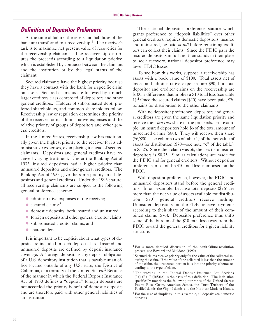### **Definition of Depositor Preference**

At the time of failure, the assets and liabilities of the bank are transferred to a receivership.<sup>1</sup> The receiver's task is to maximize net present value of recoveries for the receivership claimants. The receivership distributes the proceeds according to a liquidation priority, which is established by contracts between the claimant and the institution or by the legal status of the claimant.

Secured claimants have the highest priority because they have a contract with the bank for a specific claim on assets. Secured claimants are followed by a much larger creditors class composed of depositors and other general creditors. Holders of subordinated debt, preferred shareholders, and common shareholders follow. Receivership law or regulation determines the priority of the receiver for its administrative expenses and the relative priority of groups of depositors and other general creditors.

In the United States, receivership law has traditionally given the highest priority to the receiver for its administrative expenses, even placing it ahead of secured claimants. Depositors and general creditors have received varying treatment. Under the Banking Act of 1933, insured depositors had a higher priority than uninsured depositors and other general creditors. The Banking Act of 1935 gave the same priority to all depositors and general creditors. Under the 1993 statute, all receivership claimants are subject to the following general preference scheme:

- administrative expenses of the receiver;
- $\bullet$  secured claims;<sup>2</sup>
- $\bullet$  domestic deposits, both insured and uninsured;
- $\bullet$  foreign deposits and other general creditor claims;
- � subordinated creditor claims; and
- shareholders.

It is important to be explicit about what types of deposits are included in each deposit class. Insured and uninsured deposits are defined by deposit insurance coverage. A "foreign deposit" is any deposit obligation of a U.S. depository institution that is payable at an office located outside of any U.S. state, the District of Columbia, or a territory of the United States.3 Because of the manner in which the Federal Deposit Insurance Act of 1950 defines a "deposit," foreign deposits are not accorded the priority benefit of domestic deposits and are therefore paid with other general liabilities of an institution.

The national depositor preference statute which grants preference to "deposit liabilities" over other general creditors, requires domestic depositors, insured and uninsured, be paid *in full* before remaining creditors can collect their claims. Since the FDIC pays the insured depositors in full and then stands in their place to seek recovery, national depositor preference may lower FDIC losses.

To see how this works, suppose a receivership has assets with a book value of \$100. Total assets net of losses and administrative expenses are \$90, but total depositor and creditor claims on the receivership are \$100, a difference that implies a \$10 total loss (see table 1).4 0nce the secured claims (\$20) have been paid, \$70 remains for distribution to the other claimants.

With no depositor preference, depositors and general creditors are given the same liquidation priority and receive their *pro rata* share of the proceeds. For example, uninsured depositors hold \$6 of the total amount of unsecured claims (\$80). They will receive their share (\$6/\$80-see column two of table 1) of the net value of assets for distribution (\$70—see note "c" of the table). or \$5.25. Since their claim was \$6, the loss to uninsured depositors is \$0.75. Similar calculations are made for the FDIC and for general creditors. Without depositor preference, most of the \$10 total loss is imposed on the FDIC.

With depositor preference, however, the FDIC and uninsured depositors stand before the general creditors. In our example, because total deposits (\$76) are more than the net value of assets available for distribution (\$70), general creditors receive nothing. Uninsured depositors and the FDIC receive payments according to their share of the amount of their combined claims (\$76). Depositor preference thus shifts some of the burden of the \$10 total loss away from the FDIC toward the general creditors for a given liability structure.

 $1$  For a more detailed discussion of the bank-failure-resolution process, see Bovenzi and Muldoon (1990).

<sup>&</sup>lt;sup>2</sup> Secured claims receive priority only for the value of the collateral securing the claim. If the value of the collateral is less than the amount of the claim, the unsecured portion falls into the priority scheme according to the type of claim.

<sup>&</sup>lt;sup>3</sup> The wording in the Federal Deposit Insurance Act, Sections  $(3)(1)(3)$ ,  $(3)(1)(5)(A)$ , is the basis of this definition. The legislation specifically mentions the following territories of the United States: Puerto Rico, Guam, American Samoa, the Trust Territory of the Pacific Islands, the Virgin Islands, and the Northern Mariana Islands.

<sup>4</sup> For the sake of simplicity, in this example, all deposits are domestic deposits.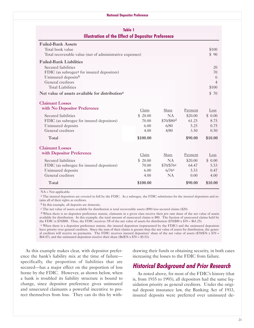#### **National Depositor Preference**

### **Table 1 Illustration of the Effect of Depositor Preference**

| <b>Failed-Bank Assets</b>                                   |                |
|-------------------------------------------------------------|----------------|
| Total book value                                            | \$100          |
| Total recoverable value (net of administrative expenses)    |                |
| <b>Failed-Bank Liabilities</b>                              |                |
| Secured liabilities                                         | 20             |
| FDIC (as subrogee <sup>a</sup> for insured depositors)      | 70             |
| Uninsured depositsb                                         | 6              |
| General creditors                                           | $\overline{4}$ |
| <b>Total Liabilities</b>                                    | \$100          |
| Net value of assets available for distribution <sup>c</sup> | \$70           |

| <b>Claimant Losses</b>                    |          |                        |         |         |
|-------------------------------------------|----------|------------------------|---------|---------|
| with No Depositor Preference              | Claim    | Share                  | Payment | Loss    |
| Secured liabilities                       | \$20.00  | <b>NA</b>              | \$20.00 | \$0.00  |
| FDIC (as subrogee for insured depositors) | 70.00    | \$70/\$80d             | 61.25   | 8.75    |
| Uninsured deposits                        | 6.00     | 6/80                   | 5.25    | 0.75    |
| General creditors                         | 4.00     | 4/80                   | 3.50    | 0.50    |
| Total                                     | \$100.00 |                        | \$90.00 | \$10.00 |
| <b>Claimant Losses</b>                    |          |                        |         |         |
| with Depositor Preference                 | Claim    | Share                  | Payment | Loss    |
| Secured liabilities                       | \$20.00  | <b>NA</b>              | \$20.00 | \$0.00  |
| FDIC (as subrogee for insured depositors) | 70.00    | \$70/\$76 <sup>e</sup> | 64.47   | 5.53    |
| Uninsured deposits                        | 6.00     | $6/76$ e               | 5.53    | 0.47    |
| General creditors                         | 4.00     | NA.                    | 0.00    | 4.00    |
| Total                                     | \$100.00 |                        | \$90.00 | \$10.00 |
|                                           |          |                        |         |         |

NA = Not applicable.

a The insured depositors are covered in full by the FDIC. As a subrogee, the FDIC substitutes for the insured depositors and retains all of their rights as creditors.

b In this example, all deposits are domestic.

c The net value of assets available for distribution is total recoverable assets (\$90) less secured claims (\$20).

d When there is no depositor preference statute, claimants in a given class receive their *pro rata* share of the net value of assets available for distribution. In this example, the total amount of unsecured claims is \$80. The fraction of unsecured claims held by the FDIC is \$70/\$80. Thus, the FDIC receives 7/8 of the net value of assets for distribution (\$70/\$80 x \$70 = \$61.25).

e When there is a depositor preference statute, the insured depositors (represented by the FDIC) and the uninsured depositors have priority over general creditors. Since the sum of their claims is greater than the net value of assets for distribution, the general creditors will receive no payments. The FDIC receives insured depositors' share of the net value of assets  $(\frac{170}{576} \times \frac{170}{576} - \frac{1}{170})$  $$64.47$ ), and the uninsured depositors receive their share (\$6/\$76 x \$70 = \$5.53).

As this example makes clear, with depositor preference the bank's liability mix at the time of failurespecifically, the proportion of liabilities that are secured—has a major effect on the proportion of loss borne by the FDIC. However, as shown below, when a bank is troubled its liability structure is bound to change, since depositor preference gives uninsured and unsecured claimants a powerful incentive to protect themselves from loss. They can do this by withdrawing their funds or obtaining security, in both cases increasing the losses to the FDIC from failure.

# **Historical Background and Prior Research**

As noted above, for most of the FDIC's history (that is, from 1935 to 1993), all depositors had the same liquidation priority as general creditors. Under the original deposit insurance law, the Banking Act of 1933, insured deposits were preferred over uninsured de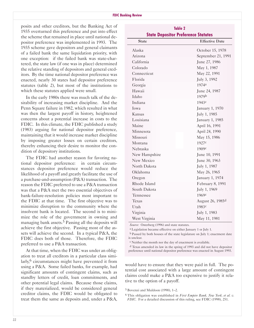$\overline{a}$ 

posits and other creditors, but the Banking Act of 1935 overturned this preference and put into effect the scheme that remained in place until national depositor preference was implemented in 1993. The 1935 scheme gave depositors and general claimants of a failed bank the same liquidation priority, with one exception: if the failed bank was state-chartered, the state law (if one was in place) determined the relative standing of depositors and general creditors. By the time national depositor preference was enacted, nearly 30 states had depositor preference statutes (table 2), but most of the institutions to which these statutes applied were small.

In the early 1980s there was much talk of the desirability of increasing market discipline. And the Penn Square failure in 1982, which resulted in what was then the largest payoff in history, heightened concerns about a potential increase in costs to the FDIC. In this climate, the FDIC published a study (1983) arguing for national depositor preference, maintaining that it would increase market discipline by imposing greater losses on certain creditors, thereby enhancing their desire to monitor the condition of depository institutions.

The FDIC had another reason for favoring national depositor preference: in certain circumstances depositor preference would reduce the likelihood of a payoff and greatly facilitate the use of a purchase-and-assumption  $(P\&A)$  transaction. The reason the FDIC preferred to use a P&A transaction was that a P&A met the two essential objectives of bank-failure-resolution policies most important to the FDIC at that time. The first objective was to minimize disruption to the community where the insolvent bank is located. The second is to minimize the role of the government in owning and managing bank assets.<sup>5</sup> Passing all the deposits will achieve the first objective. Passing most of the assets will achieve the second. In a typical P&A, the FDIC does both of those. Therefore, the FDIC preferred to use a P&A transaction.

At that time, when the FDIC was under an obligation to treat all creditors in a particular class similarly,<sup>6</sup> circumstances might have prevented it from using a P&A. Some failed banks, for example, had significant amounts of contingent claims, such as standby letters of credit, loan commitments, and other potential legal claims. Because those claims, if they materialized, would be considered general creditor claims, the FDIC would be obligated to treat them the same as deposits and, under a P&A,

| <b>State Depositor Preference Statutes</b> |                              |
|--------------------------------------------|------------------------------|
| <b>State</b>                               | <b>Effective Date</b>        |
| Alaska                                     | October 15, 1978             |
| Arizona                                    | September 21, 1991           |
| California                                 | June 27, 1986                |
| Colorado                                   | May 1, 1987                  |
| Connecticut                                | May 22, 1991                 |
| Florida                                    | July 3, 1992                 |
| Georgia                                    | 1974a                        |
| Hawaii                                     | June 24, 1987                |
| Idaho                                      | 1979b                        |
| Indiana                                    | 1943 <sup>c</sup>            |
| Iowa                                       | January 1, 1970              |
| Kansas                                     | July 1, 1985                 |
| Louisiana                                  | January 1, 1985              |
| Maine                                      | April 16, 1991               |
| Minnesota                                  | April 24, 1990               |
| Missouri                                   | May 15, 1986                 |
| Montana                                    | 1927c                        |
| Nebraska                                   | 1909c                        |
| New Hampshire                              | June 10, 1991                |
| New Mexico                                 | June 30, 1963                |
| North Dakota                               | July 1, 1987                 |
| Oklahoma                                   | May 26, 1965                 |
| Oregon                                     | January 1, 1974              |
| Rhode Island                               | February 8, 1991             |
| South Dakota                               | July 1, 1969                 |
| Tennessee                                  | 1969c                        |
| Texas                                      | August 26, 1985 <sup>d</sup> |
| Utah                                       | 1983c                        |
| Virginia                                   | July 1, 1983                 |
| West Virginia                              | May 11, 1981                 |

**Table 2**

Source: Osterberg (1996) and state statutes.

a Legislation became effective on either January 1 or July 1.

b Passed by both houses of the state legislature on July 1; enactment date is unclear.

c Neither the month nor the day of enactment is available.

d Texas amended its law in the spring of 1993 and did not have depositor preference until national depositor preference was enacted in August 1993.

would have to ensure that they were paid in full. The potential cost associated with a large amount of contingent claims could make a P&A too expensive to justify it relative to the option of a payoff.

5 Bovenzi and Muldoon (1990), 1-2.

6 This obligation was established in *First Empire Bank, Nee York, et al. v. FDIC*. For a detailed discussion of this ruling, see FDIC (1998), 251.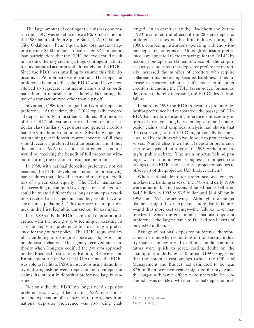The large amount of contingent claims was one reason the FDIC was not able to use a P&A transaction in the 1982 failure of Penn Square Bank, N.A., 0klahoma City, 0klahoma. Penn Square had total assets of approximately \$500 million. It had issued \$2.1 billion in loan participations that the FDIC believed could result in lawsuits, thereby creating a huge contingent liability for any potential acquirer and ultimately for the FDIC. Since the FDIC was unwilling to assume this risk, depositors of Penn Square were paid off. Had depositor preference been in effect, the FDIC would have been allowed to segregate contingent claims and subordinate them to deposit claims, thereby facilitating the use of a transaction type other than a payoff.

Silverberg (1986), too, argued in favor of depositor preference. At the time, the FDIC typically covered all depositors fully in most bank failures. But because of the FDIC's obligation to treat all creditors in a particular class similarly, depositors and general creditors had the same liquidation priority. Silverberg objected, maintaining that if depositors were covered in full, they should receive a preferred creditor position, and if they did not, in a P&A transaction other general creditors would be receiving the benefit of full protection without incurring the cost of an insurance premium.

In 1988, with national depositor preference not yet enacted, the FDIC developed a rationale for resolving bank failures that allowed it to avoid treating all creditors of a given class equally. The FDIC maintained that according to common law, depositors and creditors could be treated differently as long as nondeposit creditors received at least as much as they would have received in liquidation.7 This *pro rata* technique was used in the First Republic transaction, for example.

In a 1989 study the FDIC compared depositor preference with the new *pro rata* technique, restating its case for depositor preference but declaring a preference for the *pro rata* policy. The FDIC requested explicit authority to distinguish between depositor and nondepositor claims. The agency received such authority when Congress codified the *pro rata* approach in the Financial Institutions Reform, Recovery, and Enforcement Act of 1989 (FIRREA). 0nce the FDIC was able to facilitate P&A transactions using its authority to distinguish between depositor and nondepositor claims, its interest in depositor preference largely vanished.

Not only did the FDIC no longer need depositor preference as a way of facilitiating P&A transactions, but the expectation of cost savings to the agency from national depositor preference was also being challenged. In an empirical study, Hirschhorn and Zervos (1990) examined the effects of the 28 state depositor preference statutes on the thrift industry during the 1980s, comparing institutions operating with and without depositor preference. Although depositor preference laws appeared to create savings for the FSLIC by making nondepositor claimants worse off, the empirical analysis indicated that depositor preference materially increased the number of creditors who require collateral, thus increasing secured liabilities. This increase in secured liabilities shifts losses to all other creditors, including the FDIC (as subrogee for insured depositors), thereby increasing the FDIC's losses from failure.

In sum, by 1993 the FDIC's desire to promote depositor preference had evaporated: the passage of FIR-REA had made depositor preference unnecessary in terms of distinguishing between depositor and nondeposior claims, and empirical analysis had shown that the cost savings to the FDIC might actually be shortcircuited by creditors who would seek to protect themselves. Nonetheless, the national depositor preference statute was passed on August 10, 1993, without meaningful public debate. The main impetus behind passage was that it allowed Congress to project cost savings to the FDIC and use these projected savings to offset part of the projected U.S. budget deficit.<sup>8</sup>

When national depositor preference was enacted into law, the banking crises of the 1980s and early 1990s were at an end. Total assets of failed banks fell from \$44.2 billion in 1992 to \$3.5 billion and \$1.4 billion in 1993 and 1994, respectively. Although the budget planners might have expected more bank failures -and thus more cost savings-the failures never materialized. Since the enactment of national depositor preference, the largest bank to fail had total assets of only \$340 million.

Passage of national depositor preference therefore came at a time when conditions in the banking industry made it unncessary. In addition, public commentators were quick to react, casting doubt on the assumptions underlying it. Kaufman (1997) suggested that the potential cost savings (which the 0ffice of Management and Budget had estimated to be near \$750 million over five years) might be illusory. Since the long-run dynamic effects were uncertain, he concluded it was not clear whether national depositor pref-

7 FDIC (1989), 246-48. 8 FDIC (1997).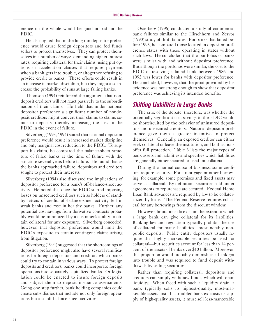erence on the whole would be good or bad for the FDIC.

He also argued that in the long run depositor preference would cause foreign depositors and fed funds sellers to protect themselves. They can protect themselves in a number of ways: demanding higher interest rates, requiring collateral for their claims, using put options or acceleration clauses that require payment when a bank gets into trouble, or altogether refusing to provide credit to banks. These efforts could result in an increase in market discipline, but they might also increase the probability of runs at large failing banks.

Thomson (1994) reinforced the argument that nondeposit creditors will not react passively to the subordination of their claims. He held that under national depositor preference a significant number of nondeposit creditors might convert their claims to claims senior to deposits, thereby increasing the loss to the FDIC in the event of failure.

Silverberg (1993, 1994) stated that national depositor preference would result in increased market discipline and only marginal cost reduction to the FDIC. To support his claim, he compared the balance-sheet structure of failed banks at the time of failure with the structure several years before failure. He found that as the banks approached failure, depositors and creditors sought to protect their interests.

Silverberg (1994) also discussed the implications of depositor preference for a bank's off-balance-sheet activity. He noted that once the FDIC started imposing losses on unsecured creditors such as holders of standby letters of credit, off-balance-sheet activity fell in weak banks and rose in healthy banks. Further, any potential cost savings from derivative contracts probably would be minimized by a customer's ability to obtain collateral for any exposure. Silverberg conceded, however, that depositor preference would limit the FDIC's exposure to certain contingent claims arising from litigation.

Silverberg (1994) suggested that the shortcomings of depositor preference might also have several ramifications for foreign depositors and creditors which banks could try to contain in various ways. To protect foreign deposits and creditors, banks could incorporate foreign operations into separately capitalized banks. 0r legislation could be enacted to insure foreign deposits and subject them to deposit insurance assessments. Going one step further, bank holding companies could create subsidiaries that include not only foreign operations but also off-balance-sheet activities.

0sterberg (1996) conducted a study of commercial bank failures similar to the Hirschhorn and Zervos (1990) study of thrift failures. For banks that failed before 1993, he compared those located in depositor preference states with those operating in states without such laws. He concluded that the portfolios of banks were similar with and without depositor preference. But although the portfolios were similar, the cost to the FDIC of resolving a failed bank between 1986 and 1992 was lower for banks with depositor preference. He concluded, however, that the proof provided by his evidence was not strong enough to show that depositor preference was achieving its intended benefits.

# **Shifting Liabilities in Large Banks**

The crux of the debate, therefore, was whether the potentially significant cost savings to the FDIC would be shortcircuited by the behavior of uninsured depositors and unsecured creditors. National depositor preference gave them a greater incentive to protect themselves. Generally, an exposed creditor can either seek collateral or leave the institution, and both actions offer full protection. Table 3 lists the major types of bank assets and liabilities and specifies which liabilities are generally either secured or used for collateral.

During the normal course of business, some creditors require security. For a mortgage or other borrowing, for example, some premises and fixed assets may serve as collateral. By definition, securities sold under agreements to repurchase are secured. Federal Home Loan Bank advances are required by law to be collateralized by loans. The Federal Reserve requires collateral for any borrowings from the discount window.

However, limitations do exist on the extent to which a large bank can give collateral for its liabilities. Banking law and regulation typically prohibit the use of collateral for many liabilities-most notably nonpublic deposits. Public entity depositors usually require that highly marketable securities be used for collateral-but securities account for less than 14 percent of the assets of banks over \$10 billion. Moreover, this proportion would probably diminish as a bank got into trouble and was required to fund deposit withdrawals by selling securities.

Rather than requiring collateral, depositors and creditors can simply withdraw funds, which will drain liquidity. When faced with such a liquidity drain, a bank typically sells its highest-quality, most-marketable assets first. If a troubled bank exhausts its supply of high-quality assets, it must sell less-marketable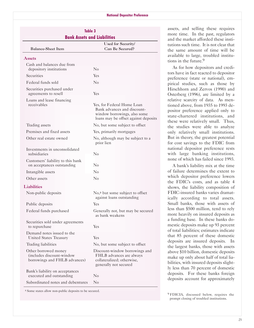| <b>Balance-Sheet Item</b>                                                           | Used for Security/<br>Can Be Secured?                                                                                             |
|-------------------------------------------------------------------------------------|-----------------------------------------------------------------------------------------------------------------------------------|
| <b>Assets</b>                                                                       |                                                                                                                                   |
| Cash and balances due from<br>depository institutions                               | $\rm No$                                                                                                                          |
| Securities                                                                          | Yes                                                                                                                               |
| Federal funds sold                                                                  | $\rm No$                                                                                                                          |
| Securities purchased under<br>agreements to resell                                  | Yes                                                                                                                               |
| Loans and lease financing<br>receivables                                            | Yes, for Federal Home Loan<br>Bank advances and discount-<br>window borrowings, also some<br>loans may be offset against deposits |
| Trading assets                                                                      | No, but some subject to offset                                                                                                    |
| Premises and fixed assets                                                           | Yes, primarily mortgages                                                                                                          |
| Other real estate owned                                                             | No, although may be subject to a<br>prior lien                                                                                    |
| Investments in unconsolidated<br>subsidiaries                                       | $\rm No$                                                                                                                          |
| Customers' liability to this bank<br>on acceptances outstanding                     | $\rm No$                                                                                                                          |
| Intangible assets                                                                   | $\rm No$                                                                                                                          |
| Other assets                                                                        | No                                                                                                                                |
| <b>Liabilities</b>                                                                  |                                                                                                                                   |
| Non-public deposits                                                                 | No, <sup>a</sup> but some subject to offset<br>against loans outstanding                                                          |
| Public deposits                                                                     | Yes                                                                                                                               |
| Federal funds purchased                                                             | Generally not, but may be secured<br>as bank weakens                                                                              |
| Securities sold under agreements<br>to repurchase                                   | Yes                                                                                                                               |
| Demand notes issued to the<br><b>United States Treasury</b>                         | Yes                                                                                                                               |
| Trading liabilities                                                                 | No, but some subject to offset                                                                                                    |
| Other borrowed money<br>(includes discount-window)<br>borrowings and FHLB advances) | Discount-window borrowings and<br>FHLB advances are always<br>collateralized; otherwise,<br>generally not secured                 |
| Bank's liability on acceptances<br>executed and outstanding                         | $\rm No$                                                                                                                          |
| Subordinated notes and debentures                                                   | $\rm No$                                                                                                                          |

<sup>a</sup> Some states allow non-public deposits to be secured.

assets, and selling these requires **Table 3 Bank Assets and Liabilities** more time. In the past, regulators **Bank Assets and Liabilities** and the market afforded these institutions such time. It is not clear that the same amount of time will be available to large, troubled institutions in the future.9

> As for how depositors and creditors have in fact reacted to depositor preference (state or national), empirical studies, such as those by Hirschhorn and Zervos (1990) and 0sterberg (1996), are limited by a relative scarcity of data. As mentioned above, from 1935 to 1993 depositor preference applied only to state-chartered institutions, and these were relatively small. Thus, the studies were able to analyze only relatively small institutions. But in theory, the greatest potential for cost savings to the FDIC from national depositor preference rests with large banking institutions, none of which has failed since 1993.

> A bank's liability mix at the time of failure determines the extent to which depositor preference lowers the FDIC's costs, and as table 4 shows, the liability composition of FDIC-insured banks varies dramatically according to total assets. Small banks, those with assets of less than \$500 million, tend to rely more heavily on insured deposits as a funding base. In these banks domestic deposits make up 93 percent of total liabilities; estimates indicate that 85 percent of these domestic deposits are insured deposits. In the largest banks, those with assets above \$10 billion, domestic deposits make up only about half of total liabilities, with insured deposits slightly less than 70 percent of domestic deposits. For these banks foreign deposits account for approximately

9 FDICIA, discussed below, requires the prompt closing of troubled institutions.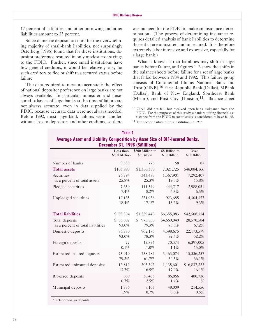17 percent of liabilities, and other borrowing and other liabilities amount to 33 percent.

Since domestic deposits account for the overwhelming majority of small-bank liabilities, not surprisingly 0sterberg (1996) found that for these institutions, depositor preference resulted in only modest cost savings to the FDIC. Further, since small institutions have few general creditors, it would be relatively easy for such creditors to flee or shift to a secured status before failure.

The data required to measure accurately the effect of national depositor preference on large banks are not always available. In particular, uninsured and unsecured balances of large banks at the time of failure are not always accurate, even in data supplied by the FDIC, because accurate data were not always needed. Before 1992, most large-bank failures were handled without loss to depositors and other creditors, so there

was no need for the FDIC to make an insurance determination. (The process of determining insurance requires detailed analysis of bank liabilities to determine those that are uninsured and unsecured. It is therefore extremely labor intensive and expensive, especially for a large bank.)

What is known is that liabilities may shift in large banks before failure, and figures 1-6 show the shifts in the balance sheets before failure for a set of large banks that failed between 1984 and 1992. This failure group consists of Continental Illinois National Bank and Trust (CINB),<sup>10</sup> First Republic Bank (Dallas), MBank (Dallas), Bank of New England, Southeast Bank (Miami), and First City  $(Houston)^{11}$ . Balance-sheet

 $10$  CINB did not fail, but received open-bank assistance from the FDIC. For the purposes of this study, a bank requiring financial assistance from the FDIC to cover losses is considered to have failed.

11 The second failure of this institution, in 1992.

| Average Asset and Liability Composition by Asset Size of BIF-Insured Banks,<br>December 31, 1998 (\$Millions) |                                     |                        |                      |                     |  |  |  |  |  |
|---------------------------------------------------------------------------------------------------------------|-------------------------------------|------------------------|----------------------|---------------------|--|--|--|--|--|
|                                                                                                               | Less than                           | \$500 Million to       | \$5 Billion to       | Over                |  |  |  |  |  |
|                                                                                                               | \$500 Million                       | \$5 Billion            | \$10 Billion         | \$10 Billion        |  |  |  |  |  |
| Number of banks                                                                                               | 9,533                               | 775                    | 68                   | 87                  |  |  |  |  |  |
| <b>Total assets</b>                                                                                           | \$103,990                           | \$1,356,388            | 7,021,725            | \$46,084,166        |  |  |  |  |  |
| Securities                                                                                                    | 26,794                              | 343,485                | 1,367,901            | 7,292,407           |  |  |  |  |  |
| as a percent of total assets                                                                                  | 25.8%                               | 25.3%                  | 19.5%                | 15.8%               |  |  |  |  |  |
| Pledged securities                                                                                            | 7,659                               | 111,549                | 444,217              | 2,988,051           |  |  |  |  |  |
|                                                                                                               | 7.4%                                | 8.2%                   | 6.3%                 | 6.5%                |  |  |  |  |  |
| Unpledged securities                                                                                          | 19,135                              | 231,936                | 923,685              | 4,304,357           |  |  |  |  |  |
|                                                                                                               | 18.4%                               | 17.1%                  | 13.2%                | 9.3%                |  |  |  |  |  |
| <b>Total liabilities</b>                                                                                      | 93,304<br>\$                        | \$1,229,448            | \$6,355,083          | \$42,508,334        |  |  |  |  |  |
| Total deposits<br>as a percent of total liabilities                                                           | 86,807<br>$\mathfrak{S}^-$<br>93.0% | 975,050<br>\$<br>79.3% | \$4,669,049<br>73.5% | 28,570,584<br>67.2% |  |  |  |  |  |
| Domestic deposits                                                                                             | 86,730                              | 962,176                | 4,598,675            | 22,173,579          |  |  |  |  |  |
|                                                                                                               | 93.0%                               | 78.3%                  | 72.4%                | 52.2%               |  |  |  |  |  |
| Foreign deposits                                                                                              | 77                                  | 12,874                 | 70,374               | 6,397,005           |  |  |  |  |  |
|                                                                                                               | 0.1%                                | 1.0%                   | 1.1%                 | 15.0%               |  |  |  |  |  |
| Estimated insured deposits                                                                                    | 73,919                              | 758,784                | 3,463,074            | 15,336,257          |  |  |  |  |  |
|                                                                                                               | 79.2%                               | 61.7%                  | 54.5%                | 36.1%               |  |  |  |  |  |
| Estimated uninsured deposits <sup>a</sup>                                                                     | 12,812                              | 203,392                | 1,135,601            | \$6,837,322         |  |  |  |  |  |
|                                                                                                               | 13.7%                               | 16.5%                  | 17.9%                | 16.1%               |  |  |  |  |  |
| <b>Brokered</b> deposits                                                                                      | 669                                 | 30,463                 | 86,866               | 480,736             |  |  |  |  |  |
|                                                                                                               | $0.7\%$                             | 2.5%                   | 1.4%                 | 1.1%                |  |  |  |  |  |
| Municipal deposits                                                                                            | 1,736                               | 8,163                  | 48,009               | 214,556             |  |  |  |  |  |
|                                                                                                               | 1.9%                                | 0.7%                   | 0.8%                 | 0.5%                |  |  |  |  |  |

# **Average Asset and Liability Composition by Asset Size of BIF-Insured Banks,**

**Table 4**

a Includes foreign deposits.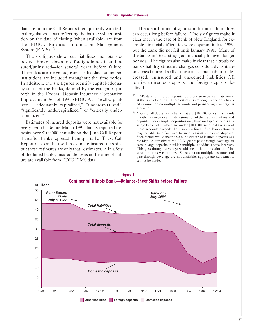data are from the Call Reports filed quarterly with federal regulators. Data reflecting the balance-sheet position on the date of closing (when available) are from the FDIC's Financial Information Management System (FIMS).12

The six figures show total liabilities and total deposits-broken down into foreign/domestic and insured/uninsured-for several years before failure. These data are merger-adjusted, so that data for merged institutions are included throughout the time series. In addition, the six figures identify capital-adequacy status of the banks, defined by the categories put forth in the Federal Deposit Insurance Corporation Improvement Act of 1991 (FDICIA): "well-capitalized," "adequately capitalized," "undercapitalized," "significantly undercapitalized," or "critically undercapitalized."

Estimates of insured deposits were not available for every period. Before March 1991, banks reported deposits over \$100,000 annually on the June Call Report; thereafter, banks reported them quarterly. These Call Report data can be used to estimate insured deposits, but these estimates are only that: estimates.<sup>13</sup> In a few of the failed banks, insured deposits at the time of failure are available from FDIC FIMS data.

The identification of significant financial difficulties can occur long before failure. The six figures make it clear that in the case of Bank of New England, for example, financial difficulties were apparent in late 1989, but the bank did not fail until January 1991. Many of the banks in Texas struggled financially for even longer periods. The figures also make it clear that a troubled bank's liability structure changes considerably as it approaches failure. In all of these cases total liabilities decreased, uninsured and unsecured liabilities fell relative to insured deposits, and foreign deposits declined.

- <sup>12</sup> FIMS data for insured deposits represent an initial estimate made at the time of closing. These estimates are rough, since only limited information on multiple accounts and pass-through coverage is available.
- 13 A sum of all deposits in a bank that are \$100,000 or less may result in either an over- or an underestimation of the true level of insured deposits. For example, depositors may have multiple accounts at a single bank, all of which are under \$100,000, such that the sum of these accounts exceeds the insurance limit. And loan customers may be able to offset loan balances against uninsured deposits. Such factors would mean that our estimate of insured deposits was too high. Alternatively, the FDIC grants pass-through coverage on certain large deposits in which multiple individuals have interests. This pass-through coverage would mean that our estimate of insured deposits was too low. Since data on multiple accounts and pass-through coverage are not available, appropriate adjustments cannot be made.

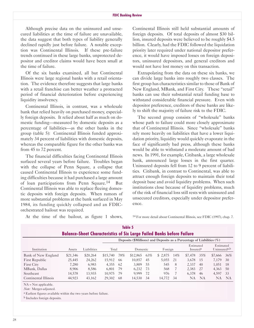Although precise data on the uninsured and unsecured liabilities at the time of failure are unavailable, the data suggest that both types of liability generally declined rapidly just before failure. A notable exception was Continental Illinois. If these pre-failure trends continued in these large banks, unprotected depositor and creditor claims would have been small at the time of failure.

0f the six banks examined, all but Continental Illinois were large regional banks with a retail orientation. The evidence therefore suggests that large banks with a retail franchise can better weather a protracted period of financial deterioration before experiencing liquidity insolvency.

Continental Illinois, in contrast, was a wholesale bank that relied heavily on purchased money, especially foreign deposits. It relied about half as much on domestic funding-measured by domestic deposits as a percentage of liabilities-as the other banks in the group (table 5): Continental Illinois funded approximately 34 percent of liabilities with domestic deposits, whereas the comparable figure for the other banks was from 45 to 72 percent.

The financial difficulties facing Continental Illinois surfaced several years before failure. Troubles began with the collapse of Penn Square, a collapse that caused Continental Illinois to experience some funding difficulties because it had purchased a large amount of loan participations from Penn Square.14 But Continental Illinois was able to replace fleeing domestic deposits with foreign deposits. When rumors of more substantial problems at the bank surfaced in May 1984, its funding quickly collapsed and an FDICorchestrated bailout was required.

Continental Illinois still held substantial amounts of foreign deposits. 0f total deposits of almost \$30 billion, insured deposits were believed to be roughly \$4.5 billion. Clearly, had the FDIC followed the liquidation priority later required under national depositor preference, it would have imposed losses on foreign depositors, uninsured depositors, and general creditors and would not have lost money on this transaction.

Extrapolating from the data on these six banks, we can divide large banks into roughly two classes. The first group has characteristics similar to those of Bank of New England, MBank, and First City. These "retail" banks can use their substantial retail funding base to withstand considerable financial pressure. Even with depositor preference, creditors of these banks are likely to shift the majority of failure risk to the FDIC.

The second group consists of "wholesale" banks whose path to failure could more closely approximate that of Continental Illinois. Since "wholesale" banks rely more heavily on liabilities that have a lower liquidation priority, liquidity would quickly evaporate in the face of significantly bad press, although these banks would be able to withstand a moderate amount of bad news. In 1991, for example, Citibank, a large wholesale bank, announced large losses in the first quarter. Uninsured deposits fell from 12 to 9 percent of liabilities. Citibank, in contrast to Continental, was able to attract enough foreign deposits to maintain their total deposit base and avoid liquidity problems. When such institutions close because of liquidity problems, much of the risk of financial loss still rests with uninsured and unsecured creditors, especially under depositor preference.

At the time of the bailout, as figure 1 shows,

14 For more detail about Continental Illinois, see FDIC (1997), chap. 7.

|                                                                                                                                                           |          |             |          |                              | Table 5  |     |         |      |                                   |           |                                       |           |
|-----------------------------------------------------------------------------------------------------------------------------------------------------------|----------|-------------|----------|------------------------------|----------|-----|---------|------|-----------------------------------|-----------|---------------------------------------|-----------|
| <b>Balance-Sheet Characteristics of Six Large Failed Banks before Failure</b><br>Deposits (\$Millions) and Deposits as a Percentage of Liabilities $(\%)$ |          |             |          |                              |          |     |         |      |                                   |           |                                       |           |
| Institution                                                                                                                                               | Assets   | Liabilities |          | Total<br>Foreign<br>Domestic |          |     |         |      | Estimated<br>Insured <sup>a</sup> |           | Estimated<br>Uninsured <sup>a,b</sup> |           |
| Bank of New England                                                                                                                                       | \$21,346 | \$20,264    | \$15,740 | 78%                          | \$12,865 | 63% | \$2.875 | 14%  | \$7,478                           | 35%       | \$7,666                               | 36%       |
| First Republic                                                                                                                                            | 25,445   | 24,262      | 15.912   | -66                          | 10.857   | 45  | 5.055   | -21  | 3.678                             | - 15      | 7.179                                 | 30        |
| <b>First City</b>                                                                                                                                         | 7.280    | 6.983       | 4,355    | -62                          | 3.809    | 55  | 545     | 8    | 2.337                             | 40        | 1.051                                 | - 18      |
| MBank, Dallas                                                                                                                                             | 8.906    | 8,586       | 6.801    | 79                           | 6.232    | 73  | 568     | 7    | 2.383                             | 27        | 4,363                                 | - 50      |
| Southeast                                                                                                                                                 | 14,578   | 13,935      | 10.975   | 79                           | 9.999    | 72  | 976     | 7    | 6,378                             | 46        | 4.597                                 | 33        |
| Continental Illinois                                                                                                                                      | 44,923   | 43,162      | 29,302   | -68                          | 14,530   | 34  | 14,772  | - 34 | NA                                | <b>NA</b> | NA.                                   | <b>NA</b> |

NA = Not applicable.

Note: Merger-adjusted.

a Earliest figures available within the two years before failure.

b Includes foreign deposits.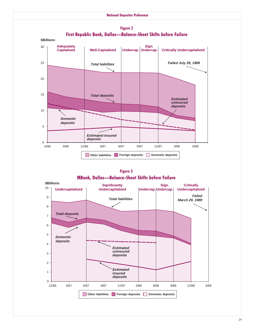

**Figure 2 First Republic Bank, Dallas-Balance-Sheet Shifts before Failure** 

**Figure 3 MBank, Dallas-Balance-Sheet Shifts before Failure** 

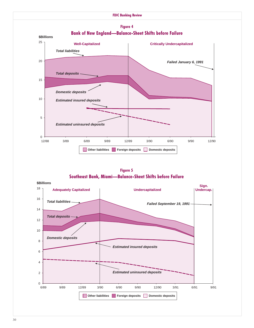

**Figure 5 Southeast Bank, Miami-Balance-Sheet Shifts before Failure** 

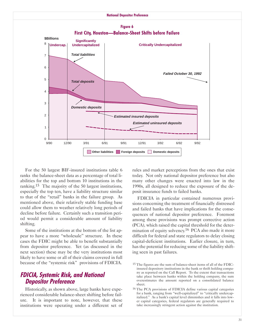

For the 50 largest BIF-insured institutions table 6 ranks the balance-sheet data as a percentage of total liabilities for the top and bottom 10 institutions in the ranking.<sup>15</sup> The majority of the 50 largest institutions, especially the top ten, have a liability structure similar to that of the "retail" banks in the failure group. As mentioned above, their relatively stable funding base could allow them to weather relatively long periods of decline before failure. Certainly such a transition period would permit a considerable amount of liability shifting.

Some of the institutions at the bottom of the list appear to have a more "wholesale" structure. In these cases the FDIC might be able to benefit substantially from depositor preference. Yet (as discussed in the next section) these may be the very institutions most likely to have some or all of their claims covered in full because of the "systemic risk" provisions of FDICIA.

# **FDICIA, Systemic Risk, and National Depositor Preference**

Historically, as shown above, large banks have experienced considerable balance-sheet shifting before failure. It is important to note, however, that these institutions were operating under a different set of rules and market perceptions from the ones that exist today. Not only national depositor preference but also many other changes were enacted into law in the 1990s, all designed to reduce the exposure of the deposit insurance funds to failed banks.

FDICIA in particular contained numerous provisions concerning the treatment of financially distressed and failed banks that have implications for the consequences of national depositor preference. Foremost among these provisions was prompt corrective action (PCA), which raised the capital threshold for the determination of equity solvency.<sup>16</sup> PCA also made it more difficult for federal and state regulators to delay closing capital-deficient institutions. Earlier closure, in turn, has the potential for reducing some of the liability shifting seen in past failures.

<sup>&</sup>lt;sup>15</sup> The figures are the sum of balance-sheet items of all of the FDICinsured depository institutions in the bank or thrift holding company as reported on the Call Report. To the extent that transactions take place between banks within the holding company, the sum overestimates the amount reported on a consolidated balance sheet.

<sup>16</sup> The PCA provisions of FDICIA define various capital categories for a bank, ranging from "well-capitalized" to "critically undercapitalized." As a bank's capital level diminishes and it falls into lower capital categories, federal regulators are generally required to take increasingly stringent action against the institution.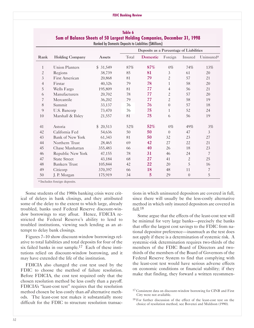#### **FDIC Banking Review**

|                | Ranked by Domestic Deposits to Liabilities (\$Millions) |          |                                         |          |                  |              |                        |  |  |
|----------------|---------------------------------------------------------|----------|-----------------------------------------|----------|------------------|--------------|------------------------|--|--|
|                |                                                         |          | Deposits as a Percentage of Liabilities |          |                  |              |                        |  |  |
| Rank           | <b>Holding Company</b>                                  | Assets   | Total                                   | Domestic | Foreign          | Insured      | Uninsured <sup>a</sup> |  |  |
| $\mathbf{1}$   | <b>Union Planters</b>                                   | \$31,549 | 87%                                     | 87%      | $0\%$            | 74%          | 13%                    |  |  |
| $\mathbf{2}$   | Regions                                                 | 38.739   | 85                                      | 81       | $\mathfrak{Z}$   | 61           | 20                     |  |  |
| 3              | First American                                          | 20,868   | 81                                      | 79       | $\overline{c}$   | 57           | 21                     |  |  |
| $\overline{4}$ | Firstar                                                 | 40,326   | 79                                      | 78       | $\mathbf{1}$     | 58           | 20                     |  |  |
| 5              | Wells Fargo                                             | 195,809  | 81                                      | 77       | $\overline{4}$   | 56           | 21                     |  |  |
| 6              | Manufacturers                                           | 20,702   | 78                                      | 77       | $\overline{c}$   | 57           | 20                     |  |  |
| 7              | Mercantile                                              | 36,202   | 79                                      | 77       | $\overline{c}$   | 58           | 19                     |  |  |
| 8              | Summit                                                  | 33,137   | 76                                      | 76       | $\boldsymbol{0}$ | 57           | 18                     |  |  |
| 9              | U.S. Bancorp                                            | 73,470   | 76                                      | 75       | $\mathbf{1}$     | 52           | 24                     |  |  |
| 10             | Marshall & Ilsley                                       | 21,557   | 81                                      | 75       | 6                | 56           | 19                     |  |  |
| 41             | Astoria                                                 | \$20,513 | 52%                                     | 52%      | $0\%$            | 49%          | 3%                     |  |  |
| 42             | California Fed                                          | 54,636   | 50                                      | 50       | $\Omega$         | 47           | 3                      |  |  |
| 43             | <b>Bank of New York</b>                                 | 61,343   | 81                                      | 50       | 32               | 23           | 27                     |  |  |
| 44             | Northern Trust                                          | 28,465   | 69                                      | 42       | 27               | 22           | 21                     |  |  |
| 45             | Chase Manhattan                                         | 355,483  | 66                                      | 40       | 26               | 18           | 23                     |  |  |
| 46             | Republic New York                                       | 47,155   | 78                                      | 31       | 46               | 24           | 7                      |  |  |
| 47             | <b>State Street</b>                                     | 43,184   | 68                                      | 27       | 41               | $\mathbf{2}$ | 25                     |  |  |
| 48             | <b>Bankers</b> Trust                                    | 105,844  | 42                                      | 22       | 20               | 5            | 16                     |  |  |
| 49             | Citicorp                                                | 370,397  | 66                                      | 18       | 48               | 11           | 7                      |  |  |
| 50             | J. P. Morgan                                            | 175,919  | 34                                      | 5        | 29               | $\theta$     | 5                      |  |  |

| Table 6                                                                         |
|---------------------------------------------------------------------------------|
| <b>Sum of Balance Sheets of 50 Largest Holding Companies, December 31, 1998</b> |
| <b>Ranked by Domestic Denosits to Lightlifies (SMillions)</b>                   |

a Includes foreign deposits.

Some students of the 1980s banking crisis were critical of delays in bank closings, and they attributed some of the delay to the extent to which large, already troubled, banks used Federal Reserve discount-window borrowings to stay afloat. Hence, FDICIA restricted the Federal Reserve's ability to lend to troubled institutions, viewing such lending as an attempt to delay bank closings.

Figures 7-10 show discount-window borrowings relative to total liabilities and total deposits for four of the six failed banks in our sample.17 Each of these institutions relied on discount-window borrowing, and it may have extended the life of the institution.

FDICIA also changed the cost test used by the FDIC to choose the method of failure resolution. Before FDICIA, the cost test required only that the chosen resolution method be less costly than a payoff. FDICIA's "least-cost test" requires that the resolution method chosen be less costly than *all* alternative methods. The least-cost test makes it substantially more difficult for the FDIC to structure resolution transac-

tions in which uninsured depositors are covered in full, since there will usually be the less-costly alternative method in which only insured depositors are covered in full.18

Some argue that the effects of the least-cost test will be minimal for very large banks—precisely the banks that offer the largest cost savings to the FDIC from national depositor preference—inasmuch as the test does not apply if there is a determination of systemic risk. A systemic-risk determination requires two-thirds of the members of the FDIC Board of Directors and twothirds of the members of the Board of Governors of the Federal Reserve System to find that complying with the least-cost test would have serious adverse effects on economic conditions or financial stability; if they make that finding, they forward a written recommen-

<sup>&</sup>lt;sup>17</sup> Consistent data on discount-window borrowing for CINB and First City were not available.

<sup>&</sup>lt;sup>18</sup> For further discussion of the effect of the least-cost test on the choice of resolution method, see Bovenzi and Muldoon (1990).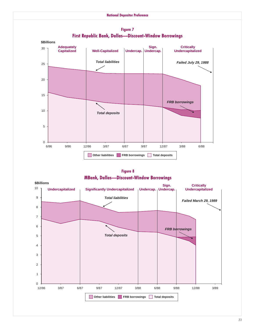

**Figure 7** First Republic Bank, Dallas-Discount-Window Borrowings

**Figure 8 MBank, Dallas-Discount-Window Borrowings** 

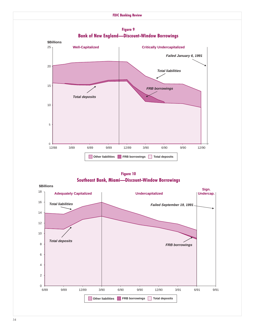

**Figure 9**

**Figure 10 Southeast Bank, Miami-Discount-Window Borrowings** 

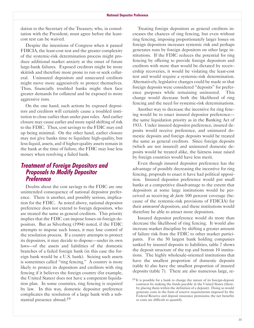dation to the Secretary of the Treasury; who, in consultation with the President, must agree before the leastcost test can be waived.

Despite the intentions of Congress when it passed FDICIA, the least-cost test and the greater complexity of the systemic-risk determination process might produce additional market anxiety at the onset of future large-bank failures. Exposed creditors might be more skittish and therefore more prone to run or seek collateral. Uninsured depositors and unsecured creditors might move more aggressively to protect themselves. Thus, financially troubled banks might then face greater demands for collateral and be exposed to more aggressive runs.

0n the one hand, such actions by exposed depositors and creditors will certainly cause a troubled institution to close earlier than under past rules. And earlier closure may cause earlier and more rapid shifting of risk to the FDIC. Thus, cost savings to the FDIC may end up being minimal. 0n the other hand, earlier closure may not give banks time to liquidate high-quality, but less-liquid, assets, and if higher-quality assets remain in the bank at the time of failure, the FDIC may lose less money when resolving a failed bank.

# **Treatment of Foreign Depositors and Proposals to Modify Depositor Preference**

Doubts about the cost savings to the FDIC are one unintended consequence of national depositor preference. There is another, and possibly serious, implication for the FDIC. As noted above, national depositor preference does not extend to foreign depositors, who are treated the same as general creditors. This priority implies that the FDIC can impose losses on foreign depositors. But as Silverberg (1994) noted, if the FDIC attempts to impose such losses, it may lose control of the resolution process. If a country attempts to protect its depositors, it may decide to dispose—under its own laws-of the assets and liabilities of the domestic branches of a failed foreign bank (in this case the foreign bank would be a U.S. bank). Seizing such assets is sometimes called "ring fencing." A country is more likely to protect its depositors and creditors with ring fencing if it believes the foreign country (for example, the United States) does not have a competent liquidation plan. In some countries, ring fencing is required by law. In this way, domestic depositor preference complicates the resolution of a large bank with a substantial presence abroad.19

Treating foreign depositors as general creditors increases the chances of ring fencing, but even without ring fencing, imposing proportionately larger losses on foreign depositors increases systemic risk and perhaps generates runs by foreign depositors on other large institutions. If the FDIC reduces the potential for ring fencing by offering to provide foreign depositors and creditors with more than would be dictated by receivership recoveries, it would be violating the least-cost test and would require a systemic-risk determination. Alternatively, legislative changes could be made so that foreign deposits were considered "deposits" for preference purposes while remaining uninsured. This change would decrease both the likelihood of ring fencing and the need for systemic-risk determinations.

Another way to decrease the incentive for ring fencing would be to enact insured depositor preference the same liquidation priority as in the Banking Act of 1933. Under insured depositor preference, insured deposits would receive preference, and uninsured domestic deposits and foreign deposits would be treated the same as general creditors. Since foreign deposits (which are not insured) and uninsured domestic deposits would be treated alike, the fairness issue raised by foreign countries would have less merit.

Even though insured depositor preference has the advantage of possibly decreasing the incentive for ring fencing, proposals to enact it have had political opposition. Insured depositor preference would put small banks at a competitive disadvantage to the extent that depositors at some large institutions would be perceived as receiving *de facto* 100 percent coverage (because of the systemic-risk provisions of FDICIA) for their *uninsured* depositors, and these institutions would therefore be able to attract more depositors.

Insured depositor preference would do more than decrease the likelihood of ring fencing. It would also increase market discipline by shifting a greater amount of failure risk from the FDIC to other market participants. For the 50 largest bank holding companies ranked by insured deposits to liabilities, table 7 shows the deposit structure of the top and bottom 10 institutions. The highly wholesale-oriented institutions that have the smallest proportion of domestic deposits (table 6) also have the smallest proportion of insured deposits (table 7). There are also numerous large, re-

 $19$  It is possible for a bank to change the nature of its foreign-deposit contracts by making the funds payable in the United States (thereby placing them within the definition of a deposit). Doing so would generate costs in the form of reserve requirements imposed by the Federal Reserve and deposit insurance premiums; the net benefits or costs are difficult to quantify.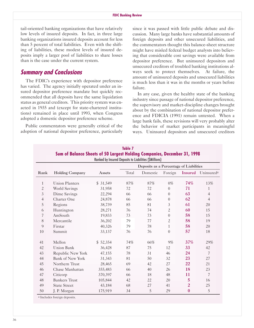tail-oriented banking organizations that have relatively low levels of insured deposits. In fact, in three large banking organizations insured deposits account for less than 5 percent of total liabilities. Even with the shifting of liabilities, these modest levels of insured deposits imply a larger pool of liabilities to share losses than is the case under the current system.

# **Summary and Conclusions**

The FDIC's experience with depositor preference has varied. The agency initially operated under an insured depositor preference mandate but quickly recommended that all deposits have the same liquidation status as general creditors. This priority system was enacted in 1935 and (except for state-chartered institutions) remained in place until 1993, when Congress adopted a domestic depositor preference scheme.

Public commentators were generally critical of the adoption of national depositor preference, particularly since it was passed with little public debate and discussion. Many large banks have substantial amounts of foreign deposits and other unsecured liabilities, and the commentators thought this balance-sheet structure might have misled federal budget analysts into believing that considerable cost savings were available from depositor preference. But uninsured depositors and unsecured creditors of troubled banking institutions always seek to protect themselves. At failure, the amount of uninsured deposits and unsecured liabilities is much less than it was in the months or years before failure.

In any case, given the healthy state of the banking industry since passage of national depositor preference, the supervisory and market-discipline changes brought about by the combination of national depositor preference and FDICIA (1991) remain untested. When a large bank fails, these revisions will very probably alter the behavior of market participants in meaningful ways. Uninsured depositors and unsecured creditors

| Sum of Balance Sheets of 50 Largest Holding Companies, December 31, 1998<br>Ranked by Insured Deposits to Liabilities (SMillions) |                         |          |                                         |          |                  |                  |                        |  |
|-----------------------------------------------------------------------------------------------------------------------------------|-------------------------|----------|-----------------------------------------|----------|------------------|------------------|------------------------|--|
| Rank                                                                                                                              |                         |          | Deposits as a Percentage of Liabilities |          |                  |                  |                        |  |
|                                                                                                                                   | <b>Holding Company</b>  | Assets   | Total                                   | Domestic | Foreign          | <b>Insured</b>   | Uninsured <sup>a</sup> |  |
| $\mathbf{1}$                                                                                                                      | <b>Union Planters</b>   | \$31,549 | 87%                                     | 87%      | $0\%$            | 74%              | 13%                    |  |
| $\mathbf{2}$                                                                                                                      | World Savings           | 31,958   | 72                                      | 72       | $\Omega$         | 71               | $\mathbf{1}$           |  |
| $\mathfrak{Z}$                                                                                                                    | Dime Savings            | 22,294   | 66                                      | 66       | $\overline{0}$   | 63               | $\overline{4}$         |  |
| $\overline{4}$                                                                                                                    | Charter One             | 24,878   | 66                                      | 66       | $\overline{0}$   | 62               | $\overline{4}$         |  |
| 5                                                                                                                                 | Regions                 | 38,739   | 85                                      | 81       | 3                | 61               | 20                     |  |
| 6                                                                                                                                 | Huntington              | 28,271   | 76                                      | 74       | $\overline{c}$   | 60               | 15                     |  |
| 7                                                                                                                                 | AmSouth                 | 19,833   | 73                                      | 73       | $\boldsymbol{0}$ | 58               | 15                     |  |
| 8                                                                                                                                 | Mercantile              | 36,202   | 79                                      | 77       | $\mathbf{2}$     | 58               | 19                     |  |
| 9                                                                                                                                 | Firstar                 | 40,326   | 79                                      | 78       | $\mathbf{1}$     | 58               | 20                     |  |
| 10                                                                                                                                | Summit                  | 33,137   | 76                                      | 76       | $\theta$         | 57               | 18                     |  |
| 41                                                                                                                                | Mellon                  | \$52,354 | 74%                                     | 66%      | 9%               | 37%              | 29%                    |  |
| 42                                                                                                                                | <b>Union Bank</b>       | 36,428   | 87                                      | 75       | 12               | 33               | 42                     |  |
| 43                                                                                                                                | Republic New York       | 47,155   | 78                                      | 31       | 46               | 24               | $\overline{7}$         |  |
| 44                                                                                                                                | <b>Bank of New York</b> | 31,343   | 81                                      | 50       | 32               | 23               | 27                     |  |
| 45                                                                                                                                | Northern Trust          | 28,465   | 69                                      | 42       | 27               | 22               | 21                     |  |
| 46                                                                                                                                | Chase Manhattan         | 355,483  | 66                                      | 40       | 26               | 18               | 23                     |  |
| 47                                                                                                                                | Citicorp                | 370,397  | 66                                      | 18       | 48               | 11               | 7                      |  |
| 48                                                                                                                                | <b>Bankers</b> Trust    | 105,844  | 42                                      | 22       | 20               | 5                | 16                     |  |
| 49                                                                                                                                | <b>State Street</b>     | 43,184   | 68                                      | 27       | 41               | $\overline{c}$   | 25                     |  |
| 50                                                                                                                                | J. P. Morgan            | 175,919  | 34                                      | 5        | 29               | $\boldsymbol{0}$ | 5                      |  |

**Table 7**

a Includes foreign deposits.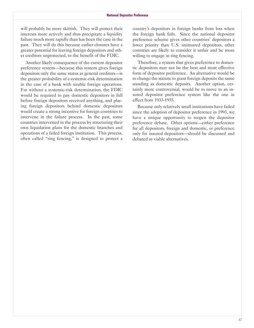will probably be more skittish. They will protect their interests more actively and thus precipitate a liquidity failure much more rapidly than has been the case in the past. They will do this because earlier closures have a greater potential for leaving foreign depositors and other creditors unprotected, to the benefit of the FDIC.

Another likely consequence of the current depositor preference system-because this system gives foreign depositors only the same status as general creditors-is the greater probability of a systemic-risk determination in the case of a bank with sizable foreign operations. For without a systemic-risk determination, the FDIC would be required to pay domestic depositors in full before foreign depositors received anything, and placing foreign depositors behind domestic depositors would create a strong incentive for foreign countries to intervene in the failure process. In the past, some countries intervened in the process by structuring their own liquidation plans for the domestic branches and operations of a failed foreign institution. This process, often called "ring fencing," is designed to protect a

country's depositors in foreign banks from loss when the foreign bank fails. Since the national depositor preference scheme gives other countries' depositors a lower priority than U.S. uninsured depositors, other countries are likely to consider it unfair and be more willing to engage in ring fencing.

Therefore, a system that gives preference to domestic depositors may not be the best and most effective form of depositor preference. An alternative would be to change the statute to grant foreign deposits the same standing as domestic deposits. Another option, certainly more controversial, would be to move to an insured depositor preference system like the one in effect from 1933-1935.

Because only relatively small institutions have failed since the adoption of depositor preference in 1993, we have a unique opportunity to reopen the depositor preference debate. 0ther options-either preference for all depositors, foreign and domestic, or preference only for insured depositors-should be discussed and debated as viable alternatives.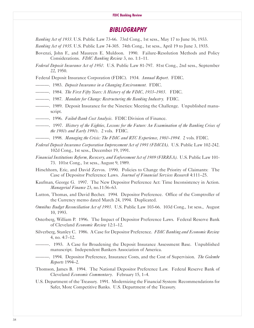# **BIBLIOGRAPHY**

*Banking Act of 1933.* U.S. Public Law 73-66. 73rd Cong., 1st sess., May 17 to June 16, 1933.

*Banking Act of 1935.* U.S. Public Law 74-305. 74th Cong., 1st sess., April 19 to June 3, 1935.

Bovenzi, John F., and Maureen E. Muldoon. 1990. Failure-Resolution Methods and Policy Considerations. *FDIC Banking Reviee* 3, no. 1:1-11.

*Federal Deposit Insurance Act of 1950.* U.S. Public Law 81-797. 81st Cong., 2nd sess., September 22, 1950.

Federal Deposit Insurance Corporation (FDIC). 1934. *Annual Report.* FDIC.

- ------. 1983. *Deposit Insurance in a Changing Environment*. FDIC.
- ---. 1984. *The First Fifty Years: A History of the FDIC, 1933–1983*. FDIC.
- $-$ . 1987. *Mandate for Change: Restructuring the Banking Industry.* FDIC.
- -----------------. 1989. Deposit Insurance for the Nineties: Meeting the Challenge. Unpublished manuscript.
- -, 1996. *Failed-Bank Cost Analysis*. FDIC Division of Finance.
- ---. 1997. *History of the Eighties, Lessons for the Fftfre: An Examination of the Banking Crises of the 1980s and Early 1990s*. 2 vols. FDIC.
- ---. 1998. *Managing the Crisis: The FDIC and RTC Experience, 1980-1994*. 2 vols. FDIC.
- *Federal Deposit Insurance Corporation Improvement Act of 1991 (FDICIA)*. U.S. Public Law 102-242. 102d Cong., 1st sess., December 19, 1991.
- *Financial Institutions Reform, Recovery, and Enforcement Act of 1989 (FIRREA).* U.S. Public Law 101-73. 101st Cong., 1st sess., August 9, 1989.
- Hirschhorn, Eric, and David Zervos. 1990. Policies to Change the Priority of Claimants: The Case of Depositor Preference Laws. *Journal of Financial Services Research* 4:111-25.
- Kaufman, George G. 1997. The New Depositor Preference Act: Time Inconsistency in Action. *Managerial Finance* 23, no.11:56-63.
- Lutton, Thomas, and David Becher. 1994. Depositor Preference. 0ffice of the Comptroller of the Currency memo dated March 24, 1994. Duplicated.
- *Omnibus Budget Reconciliation Act of 1993.* U.S. Public Law 103-66. 103d Cong., 1st sess., August 10, 1993.
- 0sterberg, William P. 1996. The Impact of Depositor Preference Laws. Federal Reserve Bank of Cleveland *Economic Reviee* 12:1-12.
- Silverberg, Stanley C. 1986. A Case for Depositor Preference. *FDIC Banking and Economic Reviee* 4, no. 4:7-12.
- ---. 1993. A Case for Broadening the Deposit Insurance Assessment Base. Unpublished manuscript. Independent Bankers Association of America.
- ---. 1994. Depositor Preference, Insurance Costs, and the Cost of Supervision. *The Golembe Reports* 1994-2.
- Thomson, James B. 1994. The National Depositor Preference Law. Federal Reserve Bank of Cleveland *Economic Commentary*. February 15, 1-4.
- U.S. Department of the Treasury. 1991. Modernizing the Financial System: Recommendations for Safer, More Competitive Banks. U.S. Department of the Treasury.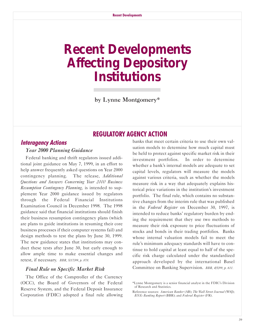# <span id="page-40-0"></span>**Recent Developments Affecting Depository Institutions**

by Lynne Montgomery\*

# **REGULATORY AGENCY ACTlON**

# **lnteragency Actions**

### *Year 2000 Planning Guidance*

 retest, if necessary. *BBR, 5/17/99, p. 878.* Federal banking and thrift regulators issued additional joint guidance on May 7, 1999, in an effort to help answer frequently asked questions on Year 2000 contingency planning. The release, *Additional Questions and Answers Concerning Year 2000 Business Resumption Contingency Planning,* is intended to supplement Year 2000 guidance issued by regulators through the Federal Financial Institutions Examination Council in December 1998. The 1998 guidance said that financial institutions should finish their business resumption contingency plans (which are plans to guide institutions in resuming their core business processes if their computer systems fail) and design methods to test the plans by June 30, 1999. The new guidance states that institutions may conduct these tests after June 30, but early enough to allow ample time to make essential changes and

### *Final Rule on Specific Market Risk*

The 0ffice of the Comptroller of the Currency (0CC), the Board of Governors of the Federal Reserve System, and the Federal Deposit Insurance Corporation (FDIC) adopted a final rule allowing

banks that meet certain criteria to use their own valuation models to determine how much capital must be held to protect against specific market risk in their investment portfolios. In order to determine whether a bank's internal models are adequate to set capital levels, regulators will measure the models against various criteria, such as whether the models measure risk in a way that adequately explains historical price variations in the institution's investment portfolio. The final rule, which contains no substantive changes from the interim rule that was published in the *Federal Register* on December 30, 1997, is intended to reduce banks' regulatory burden by ending the requirement that they use two methods to measure their risk exposure to price fluctuations of stocks and bonds in their trading portfolios. Banks whose internal valuation models fail to meet the rule's minimum adequacy standards will have to continue to hold capital at least equal to half of the specific risk charge calculated under the standardized approach developed by the international Basel Committee on Banking Supervision. *BBR, 4/5/99, p. 611.*

<sup>\*</sup>Lynne Montgomery is a senior financial analyst in the FDIC's Division of Research and Statistics.

Reference sources: *American Banker* (AB); *The Wall Street Journal* (WSJ); *BNA's Banking Report* (BBR); and *Federal Register* (FR).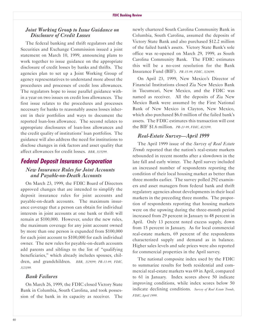### *Joint Working Group to Issue Guidance on Disclosure of Credit Losses*

The federal banking and thrift regulators and the Securities and Exchange Commission issued a joint statement on March 10, 1999, announcing plans to work together to issue guidance on the appropriate disclosure of credit losses by banks and thrifts. The agencies plan to set up a Joint Working Group of agency representatives to understand more about the procedures and processes of credit loss allowances. The regulators hope to issue parallel guidance within a year on two issues on credit loss allowances. The first issue relates to the procedures and processes necessary for banks to reasonably assess losses inherent in their portfolios and ways to document the reported loan-loss allowance. The second relates to appropriate disclosures of loan-loss allowances and the credit quality of institutions' loan portfolios. The guidance will also address the need for institutions to disclose changes in risk factors and asset quality that affect allowances for credit losses. *BBR, 3/15/99.*

## **Federal Deposit lnsurance Corporation**

### *New Insurance Rules for Joint Accounts and Payable-on-Death Accounts*

0n March 23, 1999, the FDIC Board of Directors approved changes that are intended to simplify the deposit insurance rules for joint accounts and payable-on-death accounts. The maximum insurance coverage that a person can obtain for individual interests in joint accounts at one bank or thrift will remain at \$100,000. However, under the new rules, the maximum coverage for any joint account owned by more than one person is expanded from \$100,000 for each joint account to \$100,000 for each individual owner. The new rules for payable-on-death accounts add parents and siblings to the list of "qualifying beneficiaries," which already includes spouses, children, and grandchildren. *BBR, 3/29/99; PR-13-99, FDIC, 3/23/99.*

### *Bank Failures*

0n March 26, 1999, the FDIC closed Victory State Bank in Columbia, South Carolina, and took possession of the bank in its capacity as receiver. The

newly chartered South Carolina Community Bank in Columbia, South Carolina, assumed the deposits of Victory State Bank and also purchased \$12.2 million of the failed bank's assets. Victory State Bank's sole office was re-opened on March 29, 1999, as South Carolina Community Bank. The FDIC estimates this will be a no-cost resolution for the Bank Insurance Fund (BIF). *PR-15-99, FDIC, 3/26/99.*

0n April 23, 1999, New Mexico's Director of Financial Institutions closed Zia New Mexico Bank in Tucumcari, New Mexico, and the FDIC was named as receiver. All the deposits of Zia New Mexico Bank were assumed by the First National Bank of New Mexico in Clayton, New Mexico, which also purchased \$6.0 million of the failed bank's assets. The FDIC estimates this transaction will cost the BIF \$1.6 million. *PR-20-99, FDIC, 4/23/99.*

### *Real-Estate Survey-April 1999*

The April 1999 issue of the *Survey of Real Estate Trends* reported that the nation's real-estate markets rebounded in recent months after a slowdown in the late fall and early winter. The April survey included an increased number of respondents reporting the condition of their local housing market as better than three months earlier. The survey polled 292 examiners and asset managers from federal bank and thrift regulatory agencies about developments in their local markets in the preceding three months. The proportion of respondents reporting that housing markets were on the upswing during the three-month period increased from 29 percent in January to 48 percent in April. 0nly 13 percent noted excess supply, down from 15 percent in January. As for local commercial real-estate markets, 69 percent of the respondents characterized supply and demand as in balance. Higher sales levels and sale prices were also reported for commercial properties in the April survey.

The national composite index used by the FDIC to summarize results for both residential and commercial real-estate markets was 69 in April, compared to 61 in January. Index scores above 50 indicate improving conditions, while index scores below 50 indicate declining conditions. *Survey of Real Estate Trends, FDIC, April 1999.*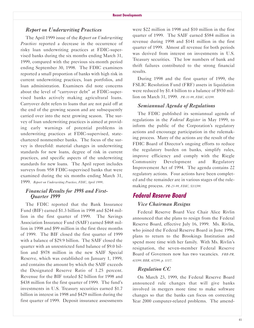### *Report on Underwriting Practices*

The April 1999 issue of the *Report on Underwriting Practices* reported a decrease in the occurrence of risky loan underwriting practices at FDIC-supervised banks during the six months ending March 31, 1999, compared with the previous six-month period ending September 30, 1998. The FDIC examiners reported a small proportion of banks with high risk in current underwriting practices, loan portfolios, and loan administration. Examiners did note concerns about the level of "carryover debt" at FDIC-supervised banks actively making agricultural loans. Carryover debt refers to loans that are not paid off at the end of the growing season and are subsequently carried over into the next growing season. The survey of loan underwriting practices is aimed at providing early warnings of potential problems in underwriting practices at FDIC-supervised, statechartered nonmember banks. The focus of the survey is threefold: material changes in underwriting standards for new loans, degree of risk in current practices, and specific aspects of the underwriting standards for new loans. The April report includes surveys from 958 FDIC-supervised banks that were examined during the six months ending March 31, 1999. *Report on Underwriting Practices, FDIC, April 1999*.

### *Financial Results for 1998 and First-Quarter 1999*

The FDIC reported that the Bank Insurance Fund (BIF) earned \$1.3 billion in 1998 and \$244 million in the first quarter of 1999. The Savings Association Insurance Fund (SAIF) earned \$468 million in 1998 and \$99 million in the first three months of 1999. The BIF closed the first quarter of 1999 with a balance of \$29.9 billion. The SAIF closed the quarter with an unrestricted fund balance of \$9.0 billion and \$978 million in the new SAIF Special Reserve, which was established on January 1, 1999, and contains the amount by which the SAIF exceeds the Designated Reserve Ratio of 1.25 percent. Revenue for the BIF totaled \$2 billion for 1998 and \$438 million for the first quarter of 1999. The fund's investments in U.S. Treasury securities earned \$1.7 billion in interest in 1998 and \$429 million during the first quarter of 1999. Deposit insurance assessments

were \$22 million in 1998 and \$10 million in the first quarter of 1999. The SAIF earned \$584 million in revenue during 1998 and \$141 million in the first quarter of 1999. Almost all revenue for both periods was derived from interest on investments in U.S. Treasury securities. The low numbers of bank and thrift failures contributed to the strong financial results.

During 1998 and the first quarter of 1999, the FSLIC Resolution Fund (FRF) assets in liquidation were reduced by \$1.4 billion to a balance of \$930 million on March 31, 1999. *PR-31-99, FDIC, 6/3/99.*

### *Semiannual Agenda of Regulations*

The FDIC published its semiannual agenda of regulations in the *Federal Register* in May 1999, to inform the public of the Corporation's regulatory actions and encourage participation in the rulemaking process. Many of the actions are the result of the FDIC Board of Director's ongoing efforts to reduce the regulatory burden on banks, simplify rules, improve efficiency and comply with the Riegle Community Development and Regulatory Improvement Act of 1994. The agenda contains 22 regulatory actions. Four actions have been completed and the remainder are in various stages of the rulemaking process. *PR-23-99, FDIC, 5/11/99.*

# **Federal Reserve Board**

### *Vice Chairman Resigns*

Federal Reserve Board Vice Chair Alice Rivlin announced that she plans to resign from the Federal Reserve Board, effective July 16, 1999. Ms. Rivlin, who joined the Federal Reserve Board in June 1996, plans to return to the Brookings Institution and spend more time with her family. With Ms. Rivlin's resignation, the seven-member Federal Reserve Board of Governors now has two vacancies. *FRB-PR, 6/3/99; BBR, 6/7/99, p. 1017.*

### *Regulation CC*

0n March 23, 1999, the Federal Reserve Board announced rule changes that will give banks involved in mergers more time to make software changes so that the banks can focus on correcting Year 2000 computer-related problems. The amend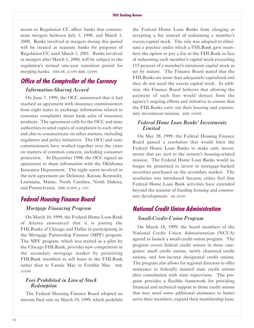ments to Regulation CC affect banks that consummate mergers between July 1, 1998, and March 1, 2000. Banks involved in mergers during this period will be treated as separate banks for purposes of Regulation CC until March 1, 2001. Banks involved in mergers after March 1, 2000, will be subject to the regulation's normal one-year transition period for merging banks. *FRB-PR, 3/23/99; BBR, 3/29/99*.

# **Office of the Comptroller of the Currency**

### *Information-Sharing Accord*

0n June 7, 1999, the 0CC announced that it had reached an agreement with insurance commissioners from eight states to exchange information related to customer complaints about bank sales of insurance products. The agreement calls for the 0CC and state authorities to send copies of complaints to each other and also to communicate on other matters, including regulatory and policy initiatives. The 0CC and state commissioners have worked together over the years on matters of common concern, including consumer protection. In December 1998, the 0CC signed an agreement to share information with the 0klahoma Insurance Department. The eight states involved in the new agreement are Delaware, Kansas, Kentucky, Louisiana, Maine, North Carolina, North Dakota, and Pennsylvania. *BBR, 6/14/99, p. 1067.*

# **Federal Housing Finance Board**

### *Mortgage Financing Program*

0n March 10, 1999, the Federal Home Loan Bank of Atlanta announced that it is joining the FHLBanks of Chicago and Dallas in participating in the Mortgage Partnership Finance (MPF) program. The MPF program, which was started as a pilot by the Chicago FHLBank, provides new competition in the secondary mortgage market by permitting FHLBank members to sell loans to the FHLBank rather than to Fannie Mae or Freddie Mac. *BBR, 3/15/99.*

### *Fees Prohibited in Lieu of Stock Redemption*

The Federal Housing Finance Board adopted an interim final rule on March 19, 1999, which prohibits

the Federal Home Loan Banks from charging or accepting a fee instead of redeeming a member's excess capital stock. The rule was adopted to eliminate a practice under which a FHLBank gave members the option to pay a fee to the FHLBank in lieu of redeeming each member's capital stock exceeding 115 percent of a member's minimum capital stock as set by stature. The Finance Board stated that the FHLBanks are more than adequately capitalized and they do not need the excess capital stock. In addition, the Finance Board believes that allowing the payment of such fees would detract from the agency's ongoing efforts and initiative to ensure that the FHLBanks carry out their housing and community investment mission. *BBR, 3/29/99.*

### *Federal Home Loan Banks' Investments Limited*

0n May 28, 1999, the Federal Housing Finance Board passed a resolution that would limit the Federal Home Loan Banks to make only investments that are tied to the system's housing-related mission. The Federal Home Loan Banks would no longer be permitted to invest in mortgage-backed securities purchased on the secondary market. The resolution was introduced because critics feel that Federal Home Loan Bank activities have extended beyond the mission of funding housing and community development. *AB, 6/1/99.*

# **National Credit Union Administration** *Small-Credit-Union Program*

0n March 18, 1999, the board members of the National Credit Union Administration (NCUA) agreed to launch a small-credit-union program. The program covers federal credit unions in three categories: small credit unions, newly chartered credit unions, and low-income designated credit unions. The program also allows for regional directors to offer assistance to federally insured state credit unions after consultation with state supervisors. The program provides a flexible framework for providing financial and technical support to those credit unions that may need some additional assistance to better serve their members, expand their membership base,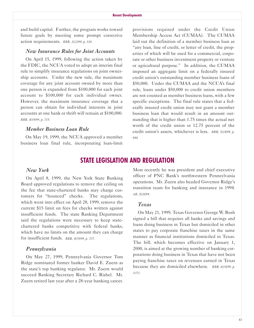and build capital. Further, the program works toward future goals by meeting some prompt corrective action requirements. *BBR, 3/22/99, p. 538.*

### *New Insurance Rules for Joint Accounts*

0n April 15, 1999, following the action taken by the FDIC, the NCUA voted to adopt an interim final rule to simplify insurance regulations on joint ownership accounts. Under the new rule, the maximum coverage for any joint account owned by more than one person is expanded from \$100,000 for each joint account to \$100,000 for each individual owner. However, the maximum insurance coverage that a person can obtain for individual interests in joint accounts at one bank or thrift will remain at \$100,000. *BBR, 4/19/99, p. 715.*

### *Member Business Loan Rule*

0n May 19, 1999, the NCUA approved a member business loan final rule, incorporating loan-limit

provisions required under the Credit Union Membership Access Act (CUMAA). The CUMAA laid out the definition of a member business loan as "any loan, line of credit, or letter of credit, the properties of which will be used for a commercial, corporate or other business investment property or venture or agricultural purpose." In addition, the CUMAA imposed an aggregate limit on a federally insured credit union's outstanding member business loans of \$50,000. Under the CUMAA and the NCUA's final rule, loans under \$50,000 to credit union members are not counted as member business loans, with a few specific exceptions. The final rule states that a federally insured credit union may not grant a member business loan that would result in an amount outstanding that is higher than 1.75 times the actual net worth of the credit union or 12.75 percent of the credit union's assets, whichever is less. *BBR, 5/24/99, p. 944.*

# **STATE LEGlSLATlON AND REGULATlON**

### *New York*

0n April 8, 1999, the New York State Banking Board approved regulations to remove the ceiling on the fee that state-chartered banks may charge customers for "bounced" checks. The regulations, which went into effect on April 28, 1999, remove the current \$15 limit on fees for checks written against insufficient funds. The state Banking Department said the regulations were necessary to keep statechartered banks competitive with federal banks, which have no limits on the amount they can charge for insufficient funds. *BBR, 4/19/99, p. 707.*

### *Pennsylvania*

0n May 27, 1999, Pennsylvania Governor Tom Ridge nominated former banker David E. Zuern as the state's top banking regulator. Mr. Zuern would succeed Banking Secretary Richard C. Rishel. Mr. Zuern retired last year after a 28-year banking career. Most recently he was president and chief executive officer of PNC Bank's northwestern Pennsylvania operations. Mr. Zuern also headed Governor Ridge's transition team for banking and insurance in 1994. *AB, 5/28/99.*

### *Texas*

0n May 21, 1999, Texas Governor George W. Bush signed a bill that requires all banks and savings and loans doing business in Texas but domiciled in other states to pay corporate franchise taxes in the same manner as financial institutions domiciled in Texas. The bill, which becomes effective on January 1, 2000, is aimed at the growing number of banking corporations doing business in Texas that have not been paying franchise taxes on revenues earned in Texas because they are domiciled elsewhere. *BBR, 6/14/99, p. 1071.*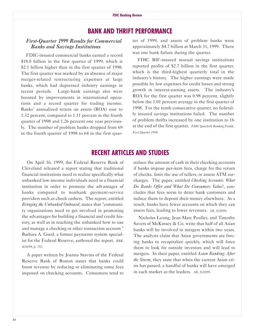# **BANK AND THRlFT PERFORMANCE**

### *First-Quarter 1999 Results for Commercial Banks and Savings Institutions*

FDIC-insured commercial banks earned a record \$18.0 billion in the first quarter of 1999, which is \$2.1 billion higher than in the first quarter of 1998. The first quarter was marked by an absence of major merger-related restructuring expenses at large banks, which had depressed industry earnings in recent periods. Large-bank earnings also were boosted by improvements in international operations and a record quarter for trading income. Banks' annualized return on assets (R0A) rose to 1.32 percent, compared to 1.11 percent in the fourth quarter of 1998 and 1.26 percent one year previously. The number of problem banks dropped from 69 in the fourth quarter of 1998 to 64 in the first quarter of 1999, and assets of problem banks were approximately \$4.7 billion at March 31, 1999. There was one bank failure during the quarter.

FDIC BIF-insured mutual savings institutions reported profits of \$2.7 billion in the first quarter, which is the third-highest quarterly total in the industry's history. The higher earnings were made possible by low expenses for credit losses and strong growth in interest-earning assets. The industry's R0A for the first quarter was 0.98 percent, slightly below the 1.01 percent average in the first quarter of 1998. For the tenth consecutive quarter, no federally insured savings institutions failed. The number of problem thrifts increased by one institution to 16 at the end of the first quarter. *FDIC Quarterly Banking Profile, First Quarter 1999.*

# **RECENT ARTlCLES AND STUDlES**

0n April 16, 1999, the Federal Reserve Bank of Cleveland released a report stating that traditional financial institutions need to realize specifically what unbanked low-income individuals need in a financial institution in order to promote the advantages of banks compared to nonbank payment-service providers such as check cashers. The report, entitled *Bringing the Unbanked Onboard*, states that "community organizations need to get involved in promoting the advantages for building a financial and credit history, as well as in teaching the unbanked how to use and manage a checking or other transaction account." Barbara A. Good, a former payments system specialist for the Federal Reserve, authored the report. *BBR, 4/26/99, p. 752.*

A paper written by Joanna Stavins of the Federal Reserve Bank of Boston states that banks could boost revenue by reducing or eliminating some fees imposed on checking accounts. Consumers tend to

reduce the amount of cash in their checking accounts if banks impose peritem fees, charge for the return of checks, limit the use of tellers, or assess ATM surcharges. The paper, entitled *Checking Accounts: What Do Banks Offer and What Do Consumers Value*?, concludes that fees seem to deter bank customers and induce them to deposit their money elsewhere. As a result, banks have fewer accounts on which they can assess fees, leading to lower revenues. *AB, 5/28/99*.

Nicholas Leung, Jean-Marc Poullet, and Timothy Savers of McKinsey & Co. write that half of all Asian banks will be involved in mergers within two years. The analysts claim that Asian governments are forcing banks to recapitalize quickly, which will force them to look for outside investors and will lead to mergers. In their paper, entitled *Asian Banking: After the Storm*, they state that when the current Asian crisis has passed, a handful of banks will have emerged in each market as the leaders. *AB, 5/28/99*.